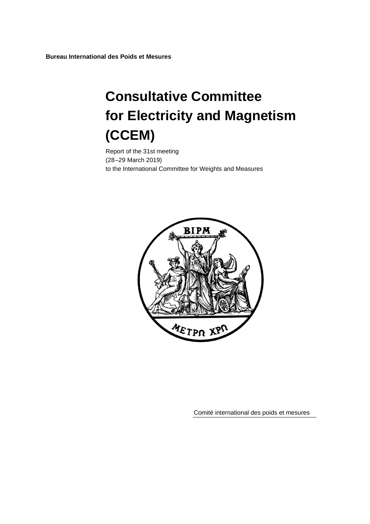**Bureau International des Poids et Mesures**

# **Consultative Committee for Electricity and Magnetism (CCEM)**

Report of the 31st meeting (28–29 March 2019) to the International Committee for Weights and Measures



Comité international des poids et mesures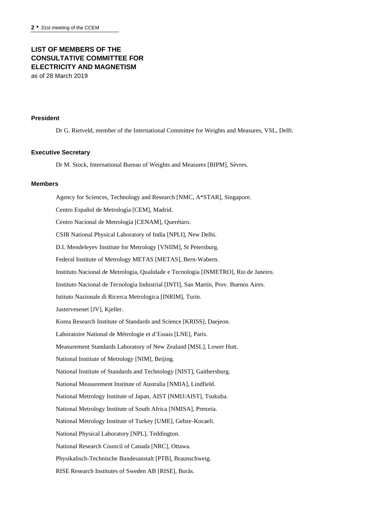## **LIST OF MEMBERS OF THE CONSULTATIVE COMMITTEE FOR ELECTRICITY AND MAGNETISM**

as of 28 March 2019

#### **President**

Dr G. Rietveld, member of the International Committee for Weights and Measures, VSL, Delft.

#### **Executive Secretary**

Dr M. Stock, International Bureau of Weights and Measures [BIPM], Sèvres.

#### **Members**

Agency for Sciences, Technology and Research [NMC, A\*STAR], Singapore. Centro Español de Metrología [CEM], Madrid. Centro Nacional de Metrología [CENAM], Querétaro. CSIR National Physical Laboratory of India [NPLI], New Delhi. D.I. Mendeleyev Institute for Metrology [VNIIM], St Petersburg. Federal Institute of Metrology METAS [METAS], Bern-Wabern. Instituto Nacional de Metrologia, Qualidade e Tecnologia [INMETRO], Rio de Janeiro. Instituto Nacional de Tecnología Industrial [INTI], San Martín, Prov. Buenos Aires. Istituto Nazionale di Ricerca Metrologica [INRIM], Turin. Justervesenet [JV], Kjeller. Korea Research Institute of Standards and Science [KRISS], Daejeon. Laboratoire National de Métrologie et d'Essais [LNE], Paris. Measurement Standards Laboratory of New Zealand [MSL], Lower Hutt. National Institute of Metrology [NIM], Beijing. National Institute of Standards and Technology [NIST], Gaithersburg. National Measurement Institute of Australia [NMIA], Lindfield. National Metrology Institute of Japan, AIST [NMIJ/AIST], Tsukuba. National Metrology Institute of South Africa [NMISA], Pretoria. National Metrology Institute of Turkey [UME], Gebze-Kocaeli. National Physical Laboratory [NPL], Teddington. National Research Council of Canada [NRC], Ottawa. Physikalisch-Technische Bundesanstalt [PTB], Braunschweig. RISE Research Institutes of Sweden AB [RISE], Borås.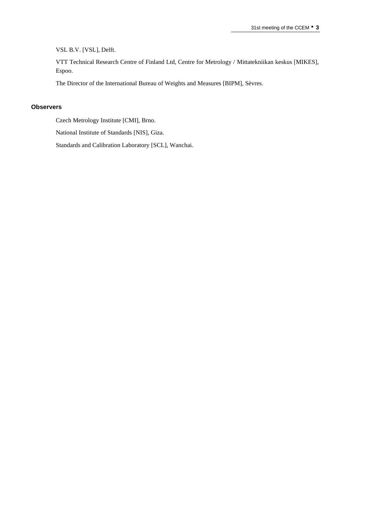VSL B.V. [VSL], Delft.

VTT Technical Research Centre of Finland Ltd, Centre for Metrology / Mittatekniikan keskus [MIKES], Espoo.

The Director of the International Bureau of Weights and Measures [BIPM], Sèvres.

#### **Observers**

Czech Metrology Institute [CMI], Brno.

National Institute of Standards [NIS], Giza.

Standards and Calibration Laboratory [SCL], Wanchai.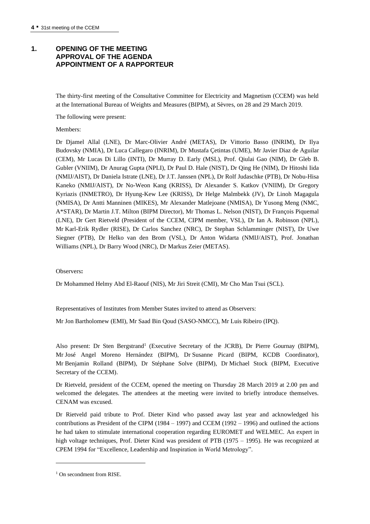## **1. OPENING OF THE MEETING APPROVAL OF THE AGENDA APPOINTMENT OF A RAPPORTEUR**

The thirty-first meeting of the Consultative Committee for Electricity and Magnetism (CCEM) was held at the International Bureau of Weights and Measures (BIPM), at Sèvres, on 28 and 29 March 2019.

The following were present:

#### Members:

Dr Djamel Allal (LNE), Dr Marc-Olivier André (METAS), Dr Vittorio Basso (INRIM), Dr Ilya Budovsky (NMIA), Dr Luca Callegaro (INRIM), Dr Mustafa Çetintas (UME), Mr Javier Diaz de Aguilar (CEM), Mr Lucas Di Lillo (INTI), Dr Murray D. Early (MSL), Prof. Qiulai Gao (NIM), Dr Gleb B. Gubler (VNIIM), Dr Anurag Gupta (NPLI), Dr Paul D. Hale (NIST), Dr Qing He (NIM), Dr Hitoshi Iida (NMIJ/AIST), Dr Daniela Istrate (LNE), Dr J.T. Janssen (NPL), Dr Rolf Judaschke (PTB), Dr Nobu-Hisa Kaneko (NMIJ/AIST), Dr No-Weon Kang (KRISS), Dr Alexander S. Katkov (VNIIM), Dr Gregory Kyriazis (INMETRO), Dr Hyung-Kew Lee (KRISS), Dr Helge Malmbekk (JV), Dr Linoh Magagula (NMISA), Dr Antti Manninen (MIKES), Mr Alexander Matlejoane (NMISA), Dr Yusong Meng (NMC, A\*STAR), Dr Martin J.T. Milton (BIPM Director), Mr Thomas L. Nelson (NIST), Dr François Piquemal (LNE), Dr Gert Rietveld (President of the CCEM, CIPM member, VSL), Dr Ian A. Robinson (NPL), Mr Karl-Erik Rydler (RISE), Dr Carlos Sanchez (NRC), Dr Stephan Schlamminger (NIST), Dr Uwe Siegner (PTB), Dr Helko van den Brom (VSL), Dr Anton Widarta (NMIJ/AIST), Prof. Jonathan Williams (NPL), Dr Barry Wood (NRC), Dr Markus Zeier (METAS).

#### Observers**:**

Dr Mohammed Helmy Abd El-Raouf (NIS), Mr Jiri Streit (CMI), Mr Cho Man Tsui (SCL).

Representatives of Institutes from Member States invited to attend as Observers:

Mr Jon Bartholomew (EMI), Mr Saad Bin Qoud (SASO-NMCC), Mr Luis Ribeiro (IPQ).

Also present: Dr Sten Bergstrand<sup>1</sup> (Executive Secretary of the JCRB), Dr Pierre Gournay (BIPM), Mr José Angel Moreno Hernández (BIPM), Dr Susanne Picard (BIPM, KCDB Coordinator), Mr Benjamin Rolland (BIPM), Dr Stéphane Solve (BIPM), Dr Michael Stock (BIPM, Executive Secretary of the CCEM).

Dr Rietveld, president of the CCEM, opened the meeting on Thursday 28 March 2019 at 2.00 pm and welcomed the delegates. The attendees at the meeting were invited to briefly introduce themselves. CENAM was excused.

Dr Rietveld paid tribute to Prof. Dieter Kind who passed away last year and acknowledged his contributions as President of the CIPM (1984 – 1997) and CCEM (1992 – 1996) and outlined the actions he had taken to stimulate international cooperation regarding EUROMET and WELMEC. An expert in high voltage techniques, Prof. Dieter Kind was president of PTB (1975 – 1995). He was recognized at CPEM 1994 for "Excellence, Leadership and Inspiration in World Metrology".

<sup>&</sup>lt;sup>1</sup> On secondment from RISE.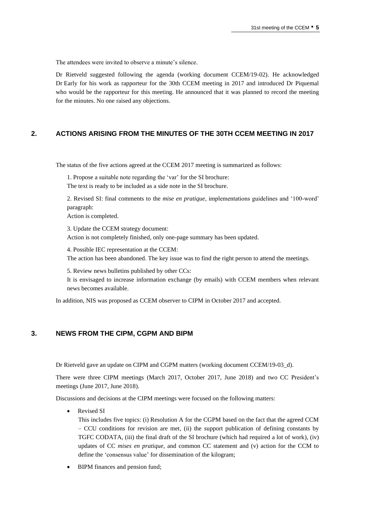The attendees were invited to observe a minute's silence.

Dr Rietveld suggested following the agenda (working document CCEM/19-02). He acknowledged Dr Early for his work as rapporteur for the 30th CCEM meeting in 2017 and introduced Dr Piquemal who would be the rapporteur for this meeting. He announced that it was planned to record the meeting for the minutes. No one raised any objections.

## **2. ACTIONS ARISING FROM THE MINUTES OF THE 30TH CCEM MEETING IN 2017**

The status of the five actions agreed at the CCEM 2017 meeting is summarized as follows:

1. Propose a suitable note regarding the 'var' for the SI brochure: The text is ready to be included as a side note in the SI brochure.

2. Revised SI: final comments to the *mise en pratique*, implementations guidelines and '100-word' paragraph:

Action is completed.

3. Update the CCEM strategy document:

Action is not completely finished, only one-page summary has been updated.

4. Possible IEC representation at the CCEM:

The action has been abandoned. The key issue was to find the right person to attend the meetings.

5. Review news bulletins published by other CCs:

It is envisaged to increase information exchange (by emails) with CCEM members when relevant news becomes available.

In addition, NIS was proposed as CCEM observer to CIPM in October 2017 and accepted.

#### **3. NEWS FROM THE CIPM, CGPM AND BIPM**

Dr Rietveld gave an update on CIPM and CGPM matters (working document CCEM/19-03\_d).

There were three CIPM meetings (March 2017, October 2017, June 2018) and two CC President's meetings (June 2017, June 2018).

Discussions and decisions at the CIPM meetings were focused on the following matters:

Revised SI

This includes five topics: (i) Resolution A for the CGPM based on the fact that the agreed CCM – CCU conditions for revision are met, (ii) the support publication of defining constants by TGFC CODATA, (iii) the final draft of the SI brochure (which had required a lot of work), (iv) updates of CC *mises en pratique*, and common CC statement and (v) action for the CCM to define the 'consensus value' for dissemination of the kilogram;

• BIPM finances and pension fund;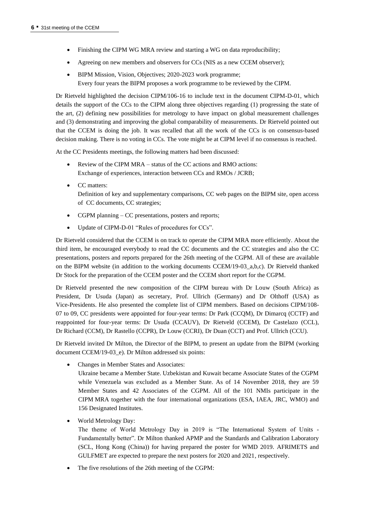- Finishing the CIPM WG MRA review and starting a WG on data reproducibility;
- Agreeing on new members and observers for CCs (NIS as a new CCEM observer);
- BIPM Mission, Vision, Objectives; 2020-2023 work programme; Every four years the BIPM proposes a work programme to be reviewed by the CIPM.

Dr Rietveld highlighted the decision CIPM/106-16 to include text in the document CIPM-D-01, which details the support of the CCs to the CIPM along three objectives regarding (1) progressing the state of the art, (2) defining new possibilities for metrology to have impact on global measurement challenges and (3) demonstrating and improving the global comparability of measurements. Dr Rietveld pointed out that the CCEM is doing the job. It was recalled that all the work of the CCs is on consensus-based decision making. There is no voting in CCs. The vote might be at CIPM level if no consensus is reached.

At the CC Presidents meetings, the following matters had been discussed:

- Review of the CIPM MRA status of the CC actions and RMO actions: Exchange of experiences, interaction between CCs and RMOs / JCRB;
- CC matters: Definition of key and supplementary comparisons, CC web pages on the BIPM site, open access of CC documents, CC strategies;
- CGPM planning CC presentations, posters and reports;
- Update of CIPM-D-01 "Rules of procedures for CCs".

Dr Rietveld considered that the CCEM is on track to operate the CIPM MRA more efficiently. About the third item, he encouraged everybody to read the CC documents and the CC strategies and also the CC presentations, posters and reports prepared for the 26th meeting of the CGPM. All of these are available on the BIPM website (in addition to the working documents CCEM/19-03\_a,b,c). Dr Rietveld thanked Dr Stock for the preparation of the CCEM poster and the CCEM short report for the CGPM.

Dr Rietveld presented the new composition of the CIPM bureau with Dr Louw (South Africa) as President, Dr Usuda (Japan) as secretary, Prof. Ullrich (Germany) and Dr Olthoff (USA) as Vice-Presidents. He also presented the complete list of CIPM members. Based on decisions CIPM/108- 07 to 09, CC presidents were appointed for four-year terms: Dr Park (CCQM), Dr Dimarcq (CCTF) and reappointed for four-year terms: Dr Usuda (CCAUV), Dr Rietveld (CCEM), Dr Castelazo (CCL), Dr Richard (CCM), Dr Rastello (CCPR), Dr Louw (CCRI), Dr Duan (CCT) and Prof. Ullrich (CCU).

Dr Rietveld invited Dr Milton, the Director of the BIPM, to present an update from the BIPM (working document CCEM/19-03\_e). Dr Milton addressed six points:

• Changes in Member States and Associates:

Ukraine became a Member State. Uzbekistan and Kuwait became Associate States of the CGPM while Venezuela was excluded as a Member State. As of 14 November 2018, they are 59 Member States and 42 Associates of the CGPM. All of the 101 NMIs participate in the CIPM MRA together with the four international organizations (ESA, IAEA, JRC, WMO) and 156 Designated Institutes.

• World Metrology Day:

The theme of World Metrology Day in 2019 is "The International System of Units - Fundamentally better". Dr Milton thanked APMP and the Standards and Calibration Laboratory (SCL, Hong Kong (China)) for having prepared the poster for WMD 2019. AFRIMETS and GULFMET are expected to prepare the next posters for 2020 and 2021, respectively.

The five resolutions of the 26th meeting of the CGPM: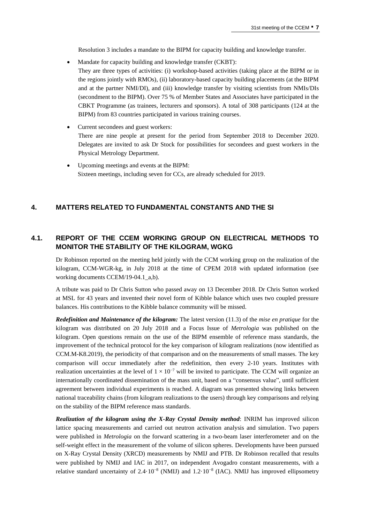Resolution 3 includes a mandate to the BIPM for capacity building and knowledge transfer.

- Mandate for capacity building and knowledge transfer (CKBT): They are three types of activities: (i) workshop-based activities (taking place at the BIPM or in the regions jointly with RMOs), (ii) laboratory-based capacity building placements (at the BIPM and at the partner NMI/DI), and (iii) knowledge transfer by visiting scientists from NMIs/DIs (secondment to the BIPM). Over 75 % of Member States and Associates have participated in the CBKT Programme (as trainees, lecturers and sponsors). A total of 308 participants (124 at the BIPM) from 83 countries participated in various training courses.
- Current secondees and guest workers: There are nine people at present for the period from September 2018 to December 2020. Delegates are invited to ask Dr Stock for possibilities for secondees and guest workers in the Physical Metrology Department.
- Upcoming meetings and events at the BIPM: Sixteen meetings, including seven for CCs, are already scheduled for 2019.

#### **4. MATTERS RELATED TO FUNDAMENTAL CONSTANTS AND THE SI**

## **4.1. REPORT OF THE CCEM WORKING GROUP ON ELECTRICAL METHODS TO MONITOR THE STABILITY OF THE KILOGRAM, WGKG**

Dr Robinson reported on the meeting held jointly with the CCM working group on the realization of the kilogram, CCM-WGR-kg, in July 2018 at the time of CPEM 2018 with updated information (see working documents CCEM/19-04.1\_a,b).

A tribute was paid to Dr Chris Sutton who passed away on 13 December 2018. Dr Chris Sutton worked at MSL for 43 years and invented their novel form of Kibble balance which uses two coupled pressure balances. His contributions to the Kibble balance community will be missed.

*Redefinition and Maintenance of the kilogram:* The latest version (11.3) of the *mise en pratique* for the kilogram was distributed on 20 July 2018 and a Focus Issue of *Metrologia* was published on the kilogram. Open questions remain on the use of the BIPM ensemble of reference mass standards, the improvement of the technical protocol for the key comparison of kilogram realizations (now identified as CCM.M-K8.2019), the periodicity of that comparison and on the measurements of small masses. The key comparison will occur immediately after the redefinition, then every 2-10 years. Institutes with realization uncertainties at the level of  $1 \times 10^{-7}$  will be invited to participate. The CCM will organize an internationally coordinated dissemination of the mass unit, based on a "consensus value", until sufficient agreement between individual experiments is reached. A diagram was presented showing links between national traceability chains (from kilogram realizations to the users) through key comparisons and relying on the stability of the BIPM reference mass standards.

*Realization of the kilogram using the X-Ray Crystal Density method*: INRIM has improved silicon lattice spacing measurements and carried out neutron activation analysis and simulation. Two papers were published in *Metrologia* on the forward scattering in a two-beam laser interferometer and on the self-weight effect in the measurement of the volume of silicon spheres. Developments have been pursued on X-Ray Crystal Density (XRCD) measurements by NMIJ and PTB. Dr Robinson recalled that results were published by NMIJ and IAC in 2017, on independent Avogadro constant measurements, with a relative standard uncertainty of  $2.4 \cdot 10^{-8}$  (NMIJ) and  $1.2 \cdot 10^{-8}$  (IAC). NMIJ has improved ellipsometry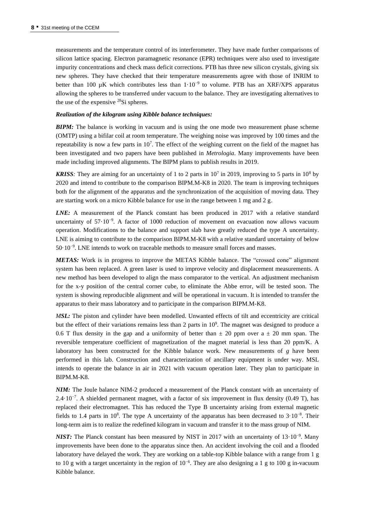measurements and the temperature control of its interferometer. They have made further comparisons of silicon lattice spacing. Electron paramagnetic resonance (EPR) techniques were also used to investigate impurity concentrations and check mass deficit corrections. PTB has three new silicon crystals, giving six new spheres. They have checked that their temperature measurements agree with those of INRIM to better than 100 µK which contributes less than  $1 \cdot 10^{-9}$  to volume. PTB has an XRF/XPS apparatus allowing the spheres to be transferred under vacuum to the balance. They are investigating alternatives to the use of the expensive <sup>28</sup>Si spheres.

#### *Realization of the kilogram using Kibble balance techniques:*

*BIPM:* The balance is working in vacuum and is using the one mode two measurement phase scheme (OMTP) using a bifilar coil at room temperature. The weighing noise was improved by 100 times and the repeatability is now a few parts in  $10<sup>7</sup>$ . The effect of the weighing current on the field of the magnet has been investigated and two papers have been published in *Metrologia*. Many improvements have been made including improved alignments. The BIPM plans to publish results in 2019.

**KRISS***:* They are aiming for an uncertainty of 1 to 2 parts in  $10^7$  in 2019, improving to 5 parts in  $10^8$  by 2020 and intend to contribute to the comparison BIPM.M-K8 in 2020. The team is improving techniques both for the alignment of the apparatus and the synchronization of the acquisition of moving data. They are starting work on a micro Kibble balance for use in the range between 1 mg and 2 g.

*LNE:* A measurement of the Planck constant has been produced in 2017 with a relative standard uncertainty of  $57 \cdot 10^{-9}$ . A factor of 1000 reduction of movement on evacuation now allows vacuum operation. Modifications to the balance and support slab have greatly reduced the type A uncertainty. LNE is aiming to contribute to the comparison BIPM.M-K8 with a relative standard uncertainty of below 50⋅10<sup>-9</sup>. LNE intends to work on traceable methods to measure small forces and masses.

*METAS:* Work is in progress to improve the METAS Kibble balance. The "crossed cone" alignment system has been replaced. A green laser is used to improve velocity and displacement measurements. A new method has been developed to align the mass comparator to the vertical. An adjustment mechanism for the x-y position of the central corner cube, to eliminate the Abbe error, will be tested soon. The system is showing reproducible alignment and will be operational in vacuum. It is intended to transfer the apparatus to their mass laboratory and to participate in the comparison BIPM.M-K8.

*MSL:* The piston and cylinder have been modelled. Unwanted effects of tilt and eccentricity are critical but the effect of their variations remains less than 2 parts in  $10<sup>9</sup>$ . The magnet was designed to produce a 0.6 T flux density in the gap and a uniformity of better than  $\pm$  20 ppm over a  $\pm$  20 mm span. The reversible temperature coefficient of magnetization of the magnet material is less than 20 ppm/K. A laboratory has been constructed for the Kibble balance work. New measurements of *g* have been performed in this lab. Construction and characterization of ancillary equipment is under way. MSL intends to operate the balance in air in 2021 with vacuum operation later. They plan to participate in BIPM.M-K8.

*NIM:* The Joule balance NIM-2 produced a measurement of the Planck constant with an uncertainty of 2.4·10<sup>-7</sup>. A shielded permanent magnet, with a factor of six improvement in flux density (0.49 T), has replaced their electromagnet. This has reduced the Type B uncertainty arising from external magnetic fields to 1.4 parts in 10<sup>8</sup>. The type A uncertainty of the apparatus has been decreased to  $3.10^{-8}$ . Their long-term aim is to realize the redefined kilogram in vacuum and transfer it to the mass group of NIM.

*NIST:* The Planck constant has been measured by NIST in 2017 with an uncertainty of 13·10<sup>-9</sup>. Many improvements have been done to the apparatus since then. An accident involving the coil and a flooded laboratory have delayed the work. They are working on a table-top Kibble balance with a range from 1 g to 10 g with a target uncertainty in the region of  $10^{-6}$ . They are also designing a 1 g to 100 g in-vacuum Kibble balance.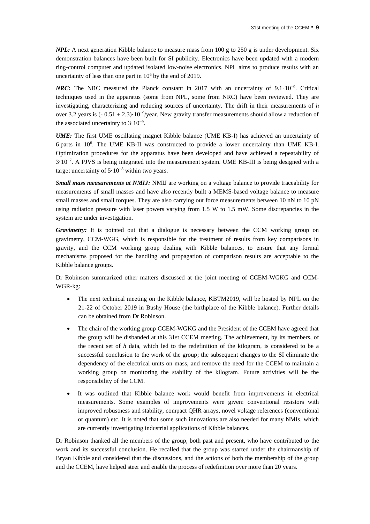*NPL:* A next generation Kibble balance to measure mass from 100 g to 250 g is under development. Six demonstration balances have been built for SI publicity. Electronics have been updated with a modern ring-control computer and updated isolated low-noise electronics. NPL aims to produce results with an uncertainty of less than one part in  $10<sup>6</sup>$  by the end of 2019.

*NRC*: The NRC measured the Planck constant in 2017 with an uncertainty of 9.1⋅10<sup>-9</sup>. Critical techniques used in the apparatus (some from NPL, some from NRC) have been reviewed. They are investigating, characterizing and reducing sources of uncertainty. The drift in their measurements of *h* over 3.2 years is (- 0.51 ± 2.3)·10<sup>-9</sup>/year. New gravity transfer measurements should allow a reduction of the associated uncertainty to  $3 \cdot 10^{-9}$ .

*UME:* The first UME oscillating magnet Kibble balance (UME KB-I) has achieved an uncertainty of 6 parts in 10<sup>6</sup> . The UME KB-II was constructed to provide a lower uncertainty than UME KB-I. Optimization procedures for the apparatus have been developed and have achieved a repeatability of 3·10−7 . A PJVS is being integrated into the measurement system. UME KB-III is being designed with a target uncertainty of 5·10−8 within two years.

*Small mass measurements at NMIJ:* NMIJ are working on a voltage balance to provide traceability for measurements of small masses and have also recently built a MEMS-based voltage balance to measure small masses and small torques. They are also carrying out force measurements between 10 nN to 10 pN using radiation pressure with laser powers varying from 1.5 W to 1.5 mW. Some discrepancies in the system are under investigation.

*Gravimetry:* It is pointed out that a dialogue is necessary between the CCM working group on gravimetry, CCM-WGG, which is responsible for the treatment of results from key comparisons in gravity, and the CCM working group dealing with Kibble balances, to ensure that any formal mechanisms proposed for the handling and propagation of comparison results are acceptable to the Kibble balance groups.

Dr Robinson summarized other matters discussed at the joint meeting of CCEM-WGKG and CCM-WGR-kg:

- The next technical meeting on the Kibble balance, KBTM2019, will be hosted by NPL on the 21-22 of October 2019 in Bushy House (the birthplace of the Kibble balance). Further details can be obtained from Dr Robinson.
- The chair of the working group CCEM-WGKG and the President of the CCEM have agreed that the group will be disbanded at this 31st CCEM meeting. The achievement, by its members, of the recent set of *h* data, which led to the redefinition of the kilogram, is considered to be a successful conclusion to the work of the group; the subsequent changes to the SI eliminate the dependency of the electrical units on mass, and remove the need for the CCEM to maintain a working group on monitoring the stability of the kilogram. Future activities will be the responsibility of the CCM.
- It was outlined that Kibble balance work would benefit from improvements in electrical measurements. Some examples of improvements were given: conventional resistors with improved robustness and stability, compact QHR arrays, novel voltage references (conventional or quantum) etc. It is noted that some such innovations are also needed for many NMIs, which are currently investigating industrial applications of Kibble balances.

Dr Robinson thanked all the members of the group, both past and present, who have contributed to the work and its successful conclusion. He recalled that the group was started under the chairmanship of Bryan Kibble and considered that the discussions, and the actions of both the membership of the group and the CCEM, have helped steer and enable the process of redefinition over more than 20 years.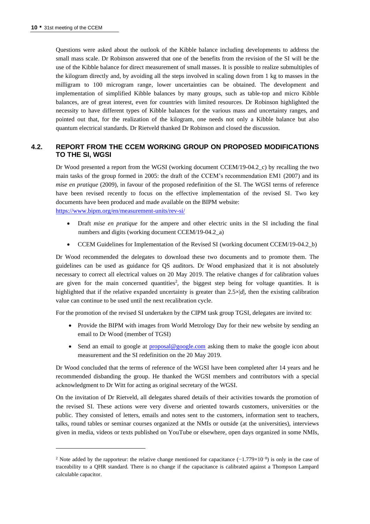Questions were asked about the outlook of the Kibble balance including developments to address the small mass scale. Dr Robinson answered that one of the benefits from the revision of the SI will be the use of the Kibble balance for direct measurement of small masses. It is possible to realize submultiples of the kilogram directly and, by avoiding all the steps involved in scaling down from 1 kg to masses in the milligram to 100 microgram range, lower uncertainties can be obtained. The development and implementation of simplified Kibble balances by many groups, such as table-top and micro Kibble balances, are of great interest, even for countries with limited resources. Dr Robinson highlighted the necessity to have different types of Kibble balances for the various mass and uncertainty ranges, and pointed out that, for the realization of the kilogram, one needs not only a Kibble balance but also quantum electrical standards. Dr Rietveld thanked Dr Robinson and closed the discussion.

## **4.2. REPORT FROM THE CCEM WORKING GROUP ON PROPOSED MODIFICATIONS TO THE SI, WGSI**

Dr Wood presented a report from the WGSI (working document CCEM/19-04.2\_c) by recalling the two main tasks of the group formed in 2005: the draft of the CCEM's recommendation EM1 (2007) and its *mise en pratique* (2009), in favour of the proposed redefinition of the SI. The WGSI terms of reference have been revised recently to focus on the effective implementation of the revised SI. Two key documents have been produced and made available on the BIPM website: <https://www.bipm.org/en/measurement-units/rev-si/>

- Draft *mise en pratique* for the ampere and other electric units in the SI including the final numbers and digits (working document CCEM/19-04.2\_a)
- CCEM Guidelines for Implementation of the Revised SI (working document CCEM/19-04.2\_b)

Dr Wood recommended the delegates to download these two documents and to promote them. The guidelines can be used as guidance for QS auditors. Dr Wood emphasized that it is not absolutely necessary to correct all electrical values on 20 May 2019. The relative changes *d* for calibration values are given for the main concerned quantities<sup>2</sup>, the biggest step being for voltage quantities. It is highlighted that if the relative expanded uncertainty is greater than  $2.5 \times |d|$ , then the existing calibration value can continue to be used until the next recalibration cycle.

For the promotion of the revised SI undertaken by the CIPM task group TGSI, delegates are invited to:

- Provide the BIPM with images from World Metrology Day for their new website by sending an email to Dr Wood (member of TGSI)
- Send an email to google at [proposal@google.com](mailto:proposal@google.com) asking them to make the google icon about measurement and the SI redefinition on the 20 May 2019.

Dr Wood concluded that the terms of reference of the WGSI have been completed after 14 years and he recommended disbanding the group. He thanked the WGSI members and contributors with a special acknowledgment to Dr Witt for acting as original secretary of the WGSI.

On the invitation of Dr Rietveld, all delegates shared details of their activities towards the promotion of the revised SI. These actions were very diverse and oriented towards customers, universities or the public. They consisted of letters, emails and notes sent to the customers, information sent to teachers, talks, round tables or seminar courses organized at the NMIs or outside (at the universities), interviews given in media, videos or texts published on YouTube or elsewhere, open days organized in some NMIs,

<sup>&</sup>lt;sup>2</sup> Note added by the rapporteur: the relative change mentioned for capacitance  $(-1.779\times10^{-8})$  is only in the case of traceability to a QHR standard. There is no change if the capacitance is calibrated against a Thompson Lampard calculable capacitor.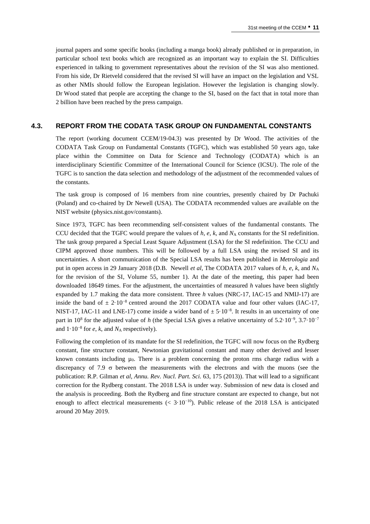journal papers and some specific books (including a manga book) already published or in preparation, in particular school text books which are recognized as an important way to explain the SI. Difficulties experienced in talking to government representatives about the revision of the SI was also mentioned. From his side, Dr Rietveld considered that the revised SI will have an impact on the legislation and VSL as other NMIs should follow the European legislation. However the legislation is changing slowly. Dr Wood stated that people are accepting the change to the SI, based on the fact that in total more than 2 billion have been reached by the press campaign.

#### **4.3. REPORT FROM THE CODATA TASK GROUP ON FUNDAMENTAL CONSTANTS**

The report (working document CCEM/19-04.3) was presented by Dr Wood. The activities of the CODATA Task Group on Fundamental Constants (TGFC), which was established 50 years ago, take place within the Committee on Data for Science and Technology (CODATA) which is an interdisciplinary Scientific Committee of the International Council for Science (ICSU). The role of the TGFC is to sanction the data selection and methodology of the adjustment of the recommended values of the constants.

The task group is composed of 16 members from nine countries, presently chaired by Dr Pachuki (Poland) and co-chaired by Dr Newell (USA). The CODATA recommended values are available on the NIST website (physics.nist.gov/constants).

Since 1973, TGFC has been recommending self-consistent values of the fundamental constants. The CCU decided that the TGFC would prepare the values of  $h$ ,  $e$ ,  $k$ , and  $N_A$  constants for the SI redefinition. The task group prepared a Special Least Square Adjustment (LSA) for the SI redefinition. The CCU and CIPM approved those numbers. This will be followed by a full LSA using the revised SI and its uncertainties. A short communication of the Special LSA results has been published in *Metrologia* and put in open access in 29 January 2018 (D.B. Newell *et al*, The CODATA 2017 values of *h*, *e*, *k*, and *N*<sup>A</sup> for the revision of the SI, Volume 55, number 1). At the date of the meeting, this paper had been downloaded 18649 times. For the adjustment, the uncertainties of measured *h* values have been slightly expanded by 1.7 making the data more consistent. Three *h* values (NRC-17, IAC-15 and NMIJ-17) are inside the band of  $\pm 2.10^{-8}$  centred around the 2017 CODATA value and four other values (IAC-17, NIST-17, IAC-11 and LNE-17) come inside a wider band of  $\pm$  5·10<sup>-8</sup>. It results in an uncertainty of one part in 10<sup>8</sup> for the adjusted value of *h* (the Special LSA gives a relative uncertainty of 5.2⋅10<sup>-9</sup>, 3.7⋅10<sup>-7</sup> and  $1 \cdot 10^{-8}$  for *e*, *k*, and  $N_A$  respectively).

Following the completion of its mandate for the SI redefinition, the TGFC will now focus on the Rydberg constant, fine structure constant, Newtonian gravitational constant and many other derived and lesser known constants including  $\mu_0$ . There is a problem concerning the proton rms charge radius with a discrepancy of 7.9  $\sigma$  between the measurements with the electrons and with the muons (see the publication: R.P. Gilman *et al*, *Annu. Rev. Nucl. Part. Sci.* 63, 175 (2013)). That will lead to a significant correction for the Rydberg constant. The 2018 LSA is under way. Submission of new data is closed and the analysis is proceeding. Both the Rydberg and fine structure constant are expected to change, but not enough to affect electrical measurements ( $\lt$  3·10<sup>-10</sup>). Public release of the 2018 LSA is anticipated around 20 May 2019.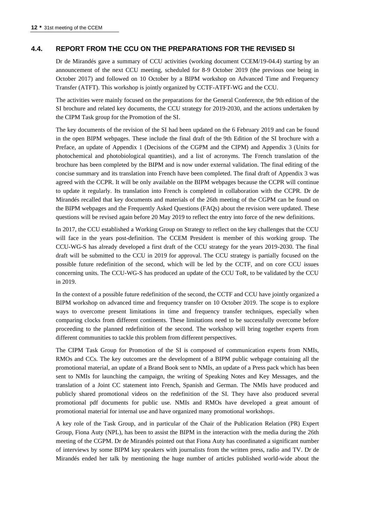#### **4.4. REPORT FROM THE CCU ON THE PREPARATIONS FOR THE REVISED SI**

Dr de Mirandés gave a summary of CCU activities (working document CCEM/19-04.4) starting by an announcement of the next CCU meeting, scheduled for 8-9 October 2019 (the previous one being in October 2017) and followed on 10 October by a BIPM workshop on Advanced Time and Frequency Transfer (ATFT). This workshop is jointly organized by CCTF-ATFT-WG and the CCU.

The activities were mainly focused on the preparations for the General Conference, the 9th edition of the SI brochure and related key documents, the CCU strategy for 2019-2030, and the actions undertaken by the CIPM Task group for the Promotion of the SI.

The key documents of the revision of the SI had been updated on the 6 February 2019 and can be found in the open BIPM webpages. These include the final draft of the 9th Edition of the SI brochure with a Preface, an update of Appendix 1 (Decisions of the CGPM and the CIPM) and Appendix 3 (Units for photochemical and photobiological quantities), and a list of acronyms. The French translation of the brochure has been completed by the BIPM and is now under external validation. The final editing of the concise summary and its translation into French have been completed. The final draft of Appendix 3 was agreed with the CCPR. It will be only available on the BIPM webpages because the CCPR will continue to update it regularly. Its translation into French is completed in collaboration with the CCPR. Dr de Mirandés recalled that key documents and materials of the 26th meeting of the CGPM can be found on the BIPM webpages and the Frequently Asked Questions (FAQs) about the revision were updated. These questions will be revised again before 20 May 2019 to reflect the entry into force of the new definitions.

In 2017, the CCU established a Working Group on Strategy to reflect on the key challenges that the CCU will face in the years post-definition. The CCEM President is member of this working group. The CCU-WG-S has already developed a first draft of the CCU strategy for the years 2019-2030. The final draft will be submitted to the CCU in 2019 for approval. The CCU strategy is partially focused on the possible future redefinition of the second, which will be led by the CCTF, and on core CCU issues concerning units. The CCU-WG-S has produced an update of the CCU ToR, to be validated by the CCU in 2019.

In the context of a possible future redefinition of the second, the CCTF and CCU have jointly organized a BIPM workshop on advanced time and frequency transfer on 10 October 2019. The scope is to explore ways to overcome present limitations in time and frequency transfer techniques, especially when comparing clocks from different continents. These limitations need to be successfully overcome before proceeding to the planned redefinition of the second. The workshop will bring together experts from different communities to tackle this problem from different perspectives.

The CIPM Task Group for Promotion of the SI is composed of communication experts from NMIs, RMOs and CCs. The key outcomes are the development of a BIPM public webpage containing all the promotional material, an update of a Brand Book sent to NMIs, an update of a Press pack which has been sent to NMIs for launching the campaign, the writing of Speaking Notes and Key Messages, and the translation of a Joint CC statement into French, Spanish and German. The NMIs have produced and publicly shared promotional videos on the redefinition of the SI. They have also produced several promotional pdf documents for public use. NMIs and RMOs have developed a great amount of promotional material for internal use and have organized many promotional workshops.

A key role of the Task Group, and in particular of the Chair of the Publication Relation (PR) Expert Group, Fiona Auty (NPL), has been to assist the BIPM in the interaction with the media during the 26th meeting of the CGPM. Dr de Mirandés pointed out that Fiona Auty has coordinated a significant number of interviews by some BIPM key speakers with journalists from the written press, radio and TV. Dr de Mirandés ended her talk by mentioning the huge number of articles published world-wide about the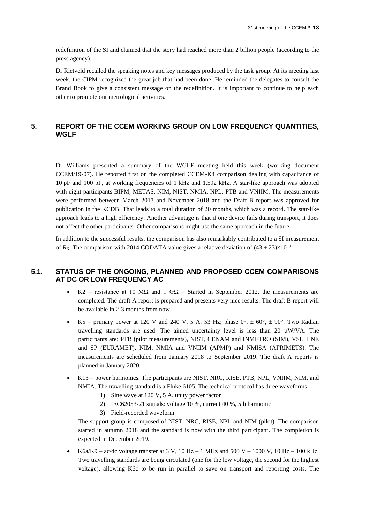redefinition of the SI and claimed that the story had reached more than 2 billion people (according to the press agency).

Dr Rietveld recalled the speaking notes and key messages produced by the task group. At its meeting last week, the CIPM recognized the great job that had been done. He reminded the delegates to consult the Brand Book to give a consistent message on the redefinition. It is important to continue to help each other to promote our metrological activities.

## **5. REPORT OF THE CCEM WORKING GROUP ON LOW FREQUENCY QUANTITIES, WGLF**

Dr Williams presented a summary of the WGLF meeting held this week (working document CCEM/19-07). He reported first on the completed CCEM-K4 comparison dealing with capacitance of 10 pF and 100 pF, at working frequencies of 1 kHz and 1.592 kHz. A star-like approach was adopted with eight participants BIPM, METAS, NIM, NIST, NMIA, NPL, PTB and VNIIM. The measurements were performed between March 2017 and November 2018 and the Draft B report was approved for publication in the KCDB. That leads to a total duration of 20 months, which was a record. The star-like approach leads to a high efficiency. Another advantage is that if one device fails during transport, it does not affect the other participants. Other comparisons might use the same approach in the future.

In addition to the successful results, the comparison has also remarkably contributed to a SI measurement of  $R_K$ . The comparison with 2014 CODATA value gives a relative deviation of  $(43 \pm 23) \times 10^{-9}$ .

### **5.1. STATUS OF THE ONGOING, PLANNED AND PROPOSED CCEM COMPARISONS AT DC OR LOW FREQUENCY AC**

- K2 resistance at 10 M $\Omega$  and 1 G $\Omega$  Started in September 2012, the measurements are completed. The draft A report is prepared and presents very nice results. The draft B report will be available in 2-3 months from now.
- K5 primary power at 120 V and 240 V, 5 A, 53 Hz; phase  $0^{\circ}$ ,  $\pm$  60 $^{\circ}$ ,  $\pm$  90 $^{\circ}$ . Two Radian travelling standards are used. The aimed uncertainty level is less than 20  $\mu$ W/VA. The participants are: PTB (pilot measurements), NIST, CENAM and INMETRO (SIM), VSL, LNE and SP (EURAMET), NIM, NMIA and VNIIM (APMP) and NMISA (AFRIMETS). The measurements are scheduled from January 2018 to September 2019. The draft A reports is planned in January 2020.
- K13 power harmonics. The participants are NIST, NRC, RISE, PTB, NPL, VNIIM, NIM, and NMIA. The travelling standard is a Fluke 6105. The technical protocol has three waveforms:
	- 1) Sine wave at 120 V, 5 A, unity power factor
	- 2) IEC62053-21 signals: voltage 10 %, current 40 %, 5th harmonic
	- 3) Field-recorded waveform

The support group is composed of NIST, NRC, RISE, NPL and NIM (pilot). The comparison started in autumn 2018 and the standard is now with the third participant. The completion is expected in December 2019.

• K6a/K9 – ac/dc voltage transfer at 3 V, 10 Hz – 1 MHz and 500 V – 1000 V, 10 Hz – 100 kHz. Two travelling standards are being circulated (one for the low voltage, the second for the highest voltage), allowing K6c to be run in parallel to save on transport and reporting costs. The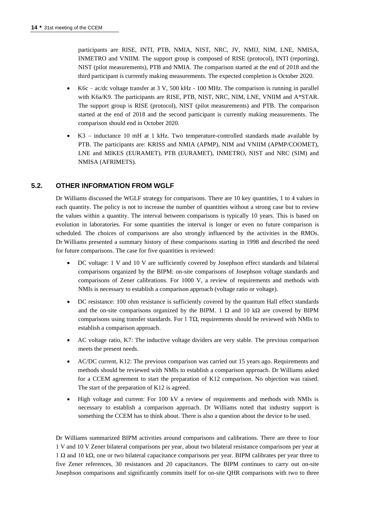participants are RISE, INTI, PTB, NMIA, NIST, NRC, JV, NMIJ, NIM, LNE, NMISA, INMETRO and VNIIM. The support group is composed of RISE (protocol), INTI (reporting), NIST (pilot measurements), PTB and NMIA. The comparison started at the end of 2018 and the third participant is currently making measurements. The expected completion is October 2020.

- K6c ac/dc voltage transfer at  $3 \text{ V}$ ,  $500 \text{ kHz}$  100 MHz. The comparison is running in parallel with K6a/K9. The participants are RISE, PTB, NIST, NRC, NIM, LNE, VNIIM and A\*STAR. The support group is RISE (protocol), NIST (pilot measurements) and PTB. The comparison started at the end of 2018 and the second participant is currently making measurements. The comparison should end in October 2020.
- K3 inductance 10 mH at 1 kHz. Two temperature-controlled standards made available by PTB. The participants are: KRISS and NMIA (APMP), NIM and VNIIM (APMP/COOMET), LNE and MIKES (EURAMET), PTB (EURAMET), INMETRO, NIST and NRC (SIM) and NMISA (AFRIMETS).

### **5.2. OTHER INFORMATION FROM WGLF**

Dr Williams discussed the WGLF strategy for comparisons. There are 10 key quantities, 1 to 4 values in each quantity. The policy is not to increase the number of quantities without a strong case but to review the values within a quantity. The interval between comparisons is typically 10 years. This is based on evolution in laboratories. For some quantities the interval is longer or even no future comparison is scheduled. The choices of comparisons are also strongly influenced by the activities in the RMOs. Dr Williams presented a summary history of these comparisons starting in 1998 and described the need for future comparisons. The case for five quantities is reviewed:

- DC voltage: 1 V and 10 V are sufficiently covered by Josephson effect standards and bilateral comparisons organized by the BIPM: on-site comparisons of Josephson voltage standards and comparisons of Zener calibrations. For 1000 V, a review of requirements and methods with NMIs is necessary to establish a comparison approach (voltage ratio or voltage).
- DC resistance: 100 ohm resistance is sufficiently covered by the quantum Hall effect standards and the on-site comparisons organized by the BIPM. 1  $\Omega$  and 10 k $\Omega$  are covered by BIPM comparisons using transfer standards. For 1 T $\Omega$ , requirements should be reviewed with NMIs to establish a comparison approach.
- AC voltage ratio, K7: The inductive voltage dividers are very stable. The previous comparison meets the present needs.
- AC/DC current, K12: The previous comparison was carried out 15 years ago. Requirements and methods should be reviewed with NMIs to establish a comparison approach. Dr Williams asked for a CCEM agreement to start the preparation of K12 comparison. No objection was raised. The start of the preparation of K12 is agreed.
- High voltage and current: For 100 kV a review of requirements and methods with NMIs is necessary to establish a comparison approach. Dr Williams noted that industry support is something the CCEM has to think about. There is also a question about the device to be used.

Dr Williams summarized BIPM activities around comparisons and calibrations. There are three to four 1 V and 10 V Zener bilateral comparisons per year, about two bilateral resistance comparisons per year at 1 Ω and 10 kΩ, one or two bilateral capacitance comparisons per year. BIPM calibrates per year three to five Zener references, 30 resistances and 20 capacitances. The BIPM continues to carry out on-site Josephson comparisons and significantly commits itself for on-site QHR comparisons with two to three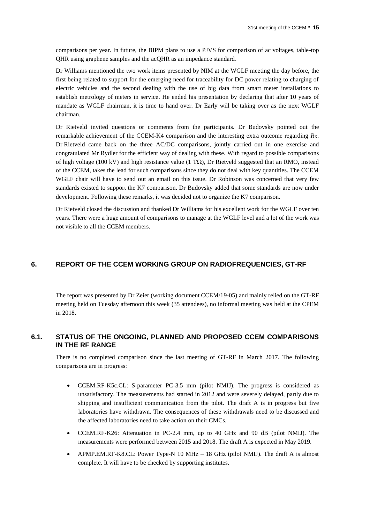comparisons per year. In future, the BIPM plans to use a PJVS for comparison of ac voltages, table-top QHR using graphene samples and the acQHR as an impedance standard.

Dr Williams mentioned the two work items presented by NIM at the WGLF meeting the day before, the first being related to support for the emerging need for traceability for DC power relating to charging of electric vehicles and the second dealing with the use of big data from smart meter installations to establish metrology of meters in service. He ended his presentation by declaring that after 10 years of mandate as WGLF chairman, it is time to hand over. Dr Early will be taking over as the next WGLF chairman.

Dr Rietveld invited questions or comments from the participants. Dr Budovsky pointed out the remarkable achievement of the CCEM-K4 comparison and the interesting extra outcome regarding  $R_K$ . Dr Rietveld came back on the three AC/DC comparisons, jointly carried out in one exercise and congratulated Mr Rydler for the efficient way of dealing with these. With regard to possible comparisons of high voltage (100 kV) and high resistance value (1 T $\Omega$ ), Dr Rietveld suggested that an RMO, instead of the CCEM, takes the lead for such comparisons since they do not deal with key quantities. The CCEM WGLF chair will have to send out an email on this issue. Dr Robinson was concerned that very few standards existed to support the K7 comparison. Dr Budovsky added that some standards are now under development. Following these remarks, it was decided not to organize the K7 comparison.

Dr Rietveld closed the discussion and thanked Dr Williams for his excellent work for the WGLF over ten years. There were a huge amount of comparisons to manage at the WGLF level and a lot of the work was not visible to all the CCEM members.

## **6. REPORT OF THE CCEM WORKING GROUP ON RADIOFREQUENCIES, GT-RF**

The report was presented by Dr Zeier (working document CCEM/19-05) and mainly relied on the GT-RF meeting held on Tuesday afternoon this week (35 attendees), no informal meeting was held at the CPEM in 2018.

### **6.1. STATUS OF THE ONGOING, PLANNED AND PROPOSED CCEM COMPARISONS IN THE RF RANGE**

There is no completed comparison since the last meeting of GT-RF in March 2017. The following comparisons are in progress:

- CCEM.RF-K5c.CL: S-parameter PC-3.5 mm (pilot NMIJ). The progress is considered as unsatisfactory. The measurements had started in 2012 and were severely delayed, partly due to shipping and insufficient communication from the pilot. The draft A is in progress but five laboratories have withdrawn. The consequences of these withdrawals need to be discussed and the affected laboratories need to take action on their CMCs.
- CCEM.RF-K26: Attenuation in PC-2.4 mm, up to 40 GHz and 90 dB (pilot NMIJ). The measurements were performed between 2015 and 2018. The draft A is expected in May 2019.
- APMP.EM.RF-K8.CL: Power Type-N 10 MHz 18 GHz (pilot NMIJ). The draft A is almost complete. It will have to be checked by supporting institutes.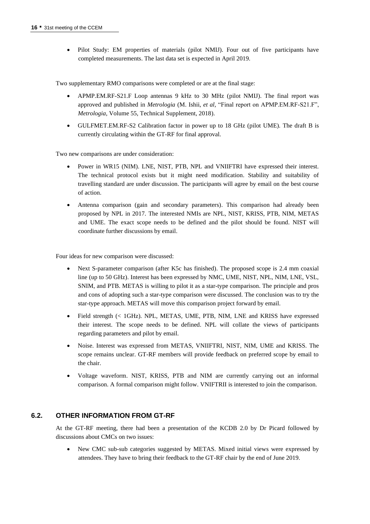• Pilot Study: EM properties of materials (pilot NMIJ). Four out of five participants have completed measurements. The last data set is expected in April 2019.

Two supplementary RMO comparisons were completed or are at the final stage:

- APMP.EM.RF-S21.F Loop antennas 9 kHz to 30 MHz (pilot NMIJ). The final report was approved and published in *Metrologia* (M. Ishii, *et al,* "Final report on APMP.EM.RF-S21.F", *Metrologia*, Volume 55, Technical Supplement, 2018).
- GULFMET.EM.RF-S2 Calibration factor in power up to 18 GHz (pilot UME). The draft B is currently circulating within the GT-RF for final approval.

Two new comparisons are under consideration:

- Power in WR15 (NIM). LNE, NIST, PTB, NPL and VNIIFTRI have expressed their interest. The technical protocol exists but it might need modification. Stability and suitability of travelling standard are under discussion. The participants will agree by email on the best course of action.
- Antenna comparison (gain and secondary parameters). This comparison had already been proposed by NPL in 2017. The interested NMIs are NPL, NIST, KRISS, PTB, NIM, METAS and UME. The exact scope needs to be defined and the pilot should be found. NIST will coordinate further discussions by email.

Four ideas for new comparison were discussed:

- Next S-parameter comparison (after K5c has finished). The proposed scope is 2.4 mm coaxial line (up to 50 GHz). Interest has been expressed by NMC, UME, NIST, NPL, NIM, LNE, VSL, SNIM, and PTB. METAS is willing to pilot it as a star-type comparison. The principle and pros and cons of adopting such a star-type comparison were discussed. The conclusion was to try the star-type approach. METAS will move this comparison project forward by email.
- Field strength (< 1GHz). NPL, METAS, UME, PTB, NIM, LNE and KRISS have expressed their interest. The scope needs to be defined. NPL will collate the views of participants regarding parameters and pilot by email.
- Noise. Interest was expressed from METAS, VNIIFTRI, NIST, NIM, UME and KRISS. The scope remains unclear. GT-RF members will provide feedback on preferred scope by email to the chair.
- Voltage waveform. NIST, KRISS, PTB and NIM are currently carrying out an informal comparison. A formal comparison might follow. VNIFTRII is interested to join the comparison.

#### **6.2. OTHER INFORMATION FROM GT-RF**

At the GT-RF meeting, there had been a presentation of the KCDB 2.0 by Dr Picard followed by discussions about CMCs on two issues:

• New CMC sub-sub categories suggested by METAS. Mixed initial views were expressed by attendees. They have to bring their feedback to the GT-RF chair by the end of June 2019.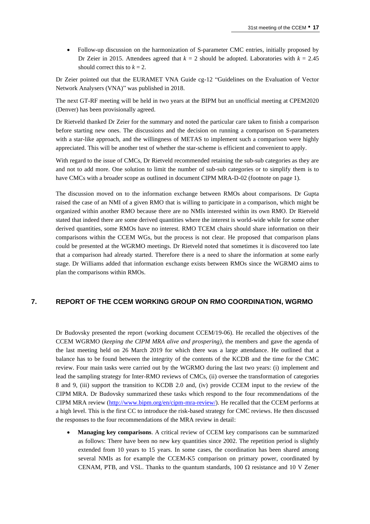• Follow-up discussion on the harmonization of S-parameter CMC entries, initially proposed by Dr Zeier in 2015. Attendees agreed that  $k = 2$  should be adopted. Laboratories with  $k = 2.45$ should correct this to  $k = 2$ .

Dr Zeier pointed out that the EURAMET VNA Guide cg-12 "Guidelines on the Evaluation of Vector Network Analysers (VNA)" was published in 2018.

The next GT-RF meeting will be held in two years at the BIPM but an unofficial meeting at CPEM2020 (Denver) has been provisionally agreed.

Dr Rietveld thanked Dr Zeier for the summary and noted the particular care taken to finish a comparison before starting new ones. The discussions and the decision on running a comparison on S-parameters with a star-like approach, and the willingness of METAS to implement such a comparison were highly appreciated. This will be another test of whether the star-scheme is efficient and convenient to apply.

With regard to the issue of CMCs, Dr Rietveld recommended retaining the sub-sub categories as they are and not to add more. One solution to limit the number of sub-sub categories or to simplify them is to have CMCs with a broader scope as outlined in document CIPM MRA-D-02 (footnote on page 1).

The discussion moved on to the information exchange between RMOs about comparisons. Dr Gupta raised the case of an NMI of a given RMO that is willing to participate in a comparison, which might be organized within another RMO because there are no NMIs interested within its own RMO. Dr Rietveld stated that indeed there are some derived quantities where the interest is world-wide while for some other derived quantities, some RMOs have no interest. RMO TCEM chairs should share information on their comparisons within the CCEM WGs, but the process is not clear. He proposed that comparison plans could be presented at the WGRMO meetings. Dr Rietveld noted that sometimes it is discovered too late that a comparison had already started. Therefore there is a need to share the information at some early stage. Dr Williams added that information exchange exists between RMOs since the WGRMO aims to plan the comparisons within RMOs.

#### **7. REPORT OF THE CCEM WORKING GROUP ON RMO COORDINATION, WGRMO**

Dr Budovsky presented the report (working document CCEM/19-06). He recalled the objectives of the CCEM WGRMO (*keeping the CIPM MRA alive and prospering)*, the members and gave the agenda of the last meeting held on 26 March 2019 for which there was a large attendance. He outlined that a balance has to be found between the integrity of the contents of the KCDB and the time for the CMC review. Four main tasks were carried out by the WGRMO during the last two years: (i) implement and lead the sampling strategy for Inter-RMO reviews of CMCs, (ii) oversee the transformation of categories 8 and 9, (iii) support the transition to KCDB 2.0 and, (iv) provide CCEM input to the review of the CIPM MRA. Dr Budovsky summarized these tasks which respond to the four recommendations of the CIPM MRA review [\(http://www.bipm.org/en/cipm-mra-review/\)](https://www.bipm.org/en/cipm-mra-review/). He recalled that the CCEM performs at a high level. This is the first CC to introduce the risk-based strategy for CMC reviews. He then discussed the responses to the four recommendations of the MRA review in detail:

• **Managing key comparisons**. A critical review of CCEM key comparisons can be summarized as follows: There have been no new key quantities since 2002. The repetition period is slightly extended from 10 years to 15 years. In some cases, the coordination has been shared among several NMIs as for example the CCEM-K5 comparison on primary power, coordinated by CENAM, PTB, and VSL. Thanks to the quantum standards, 100  $\Omega$  resistance and 10 V Zener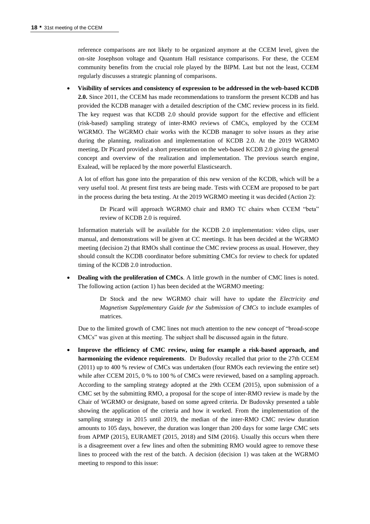reference comparisons are not likely to be organized anymore at the CCEM level, given the on-site Josephson voltage and Quantum Hall resistance comparisons. For these, the CCEM community benefits from the crucial role played by the BIPM. Last but not the least, CCEM regularly discusses a strategic planning of comparisons.

• **Visibility of services and consistency of expression to be addressed in the web-based KCDB 2.0.** Since 2011, the CCEM has made recommendations to transform the present KCDB and has provided the KCDB manager with a detailed description of the CMC review process in its field. The key request was that KCDB 2.0 should provide support for the effective and efficient (risk-based) sampling strategy of inter-RMO reviews of CMCs, employed by the CCEM WGRMO. The WGRMO chair works with the KCDB manager to solve issues as they arise during the planning, realization and implementation of KCDB 2.0. At the 2019 WGRMO meeting, Dr Picard provided a short presentation on the web-based KCDB 2.0 giving the general concept and overview of the realization and implementation. The previous search engine, Exalead, will be replaced by the more powerful Elasticsearch.

A lot of effort has gone into the preparation of this new version of the KCDB, which will be a very useful tool. At present first tests are being made. Tests with CCEM are proposed to be part in the process during the beta testing. At the 2019 WGRMO meeting it was decided (Action 2):

Dr Picard will approach WGRMO chair and RMO TC chairs when CCEM "beta" review of KCDB 2.0 is required.

Information materials will be available for the KCDB 2.0 implementation: video clips, user manual, and demonstrations will be given at CC meetings. It has been decided at the WGRMO meeting (decision 2) that RMOs shall continue the CMC review process as usual. However, they should consult the KCDB coordinator before submitting CMCs for review to check for updated timing of the KCDB 2.0 introduction.

**Dealing with the proliferation of CMCs**. A little growth in the number of CMC lines is noted. The following action (action 1) has been decided at the WGRMO meeting:

> Dr Stock and the new WGRMO chair will have to update the *Electricity and Magnetism Supplementary Guide for the Submission of CMCs* to include examples of matrices.

Due to the limited growth of CMC lines not much attention to the new concept of "broad-scope CMCs" was given at this meeting. The subject shall be discussed again in the future.

• **Improve the efficiency of CMC review, using for example a risk-based approach, and harmonizing the evidence requirements**. Dr Budovsky recalled that prior to the 27th CCEM (2011) up to 400 % review of CMCs was undertaken (four RMOs each reviewing the entire set) while after CCEM 2015, 0 % to 100 % of CMCs were reviewed, based on a sampling approach. According to the sampling strategy adopted at the 29th CCEM (2015), upon submission of a CMC set by the submitting RMO, a proposal for the scope of inter-RMO review is made by the Chair of WGRMO or designate, based on some agreed criteria. Dr Budovsky presented a table showing the application of the criteria and how it worked. From the implementation of the sampling strategy in 2015 until 2019, the median of the inter-RMO CMC review duration amounts to 105 days, however, the duration was longer than 200 days for some large CMC sets from APMP (2015), EURAMET (2015, 2018) and SIM (2016). Usually this occurs when there is a disagreement over a few lines and often the submitting RMO would agree to remove these lines to proceed with the rest of the batch. A decision (decision 1) was taken at the WGRMO meeting to respond to this issue: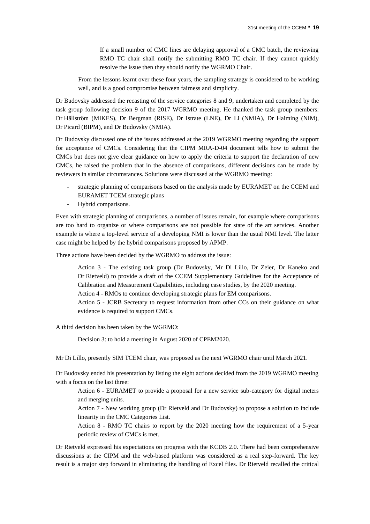If a small number of CMC lines are delaying approval of a CMC batch, the reviewing RMO TC chair shall notify the submitting RMO TC chair. If they cannot quickly resolve the issue then they should notify the WGRMO Chair.

From the lessons learnt over these four years, the sampling strategy is considered to be working well, and is a good compromise between fairness and simplicity.

Dr Budovsky addressed the recasting of the service categories 8 and 9, undertaken and completed by the task group following decision 9 of the 2017 WGRMO meeting. He thanked the task group members: Dr Hällström (MIKES), Dr Bergman (RISE), Dr Istrate (LNE), Dr Li (NMIA), Dr Haiming (NIM), Dr Picard (BIPM), and Dr Budovsky (NMIA).

Dr Budovsky discussed one of the issues addressed at the 2019 WGRMO meeting regarding the support for acceptance of CMCs. Considering that the CIPM MRA-D-04 document tells how to submit the CMCs but does not give clear guidance on how to apply the criteria to support the declaration of new CMCs, he raised the problem that in the absence of comparisons, different decisions can be made by reviewers in similar circumstances. Solutions were discussed at the WGRMO meeting:

- strategic planning of comparisons based on the analysis made by EURAMET on the CCEM and EURAMET TCEM strategic plans
- Hybrid comparisons.

Even with strategic planning of comparisons, a number of issues remain, for example where comparisons are too hard to organize or where comparisons are not possible for state of the art services. Another example is where a top-level service of a developing NMI is lower than the usual NMI level. The latter case might be helped by the hybrid comparisons proposed by APMP.

Three actions have been decided by the WGRMO to address the issue:

Action 3 - The existing task group (Dr Budovsky, Mr Di Lillo, Dr Zeier, Dr Kaneko and Dr Rietveld) to provide a draft of the CCEM Supplementary Guidelines for the Acceptance of Calibration and Measurement Capabilities, including case studies, by the 2020 meeting.

Action 4 - RMOs to continue developing strategic plans for EM comparisons.

Action 5 - JCRB Secretary to request information from other CCs on their guidance on what evidence is required to support CMCs.

A third decision has been taken by the WGRMO:

Decision 3: to hold a meeting in August 2020 of CPEM2020.

Mr Di Lillo, presently SIM TCEM chair, was proposed as the next WGRMO chair until March 2021.

Dr Budovsky ended his presentation by listing the eight actions decided from the 2019 WGRMO meeting with a focus on the last three:

Action 6 - EURAMET to provide a proposal for a new service sub-category for digital meters and merging units.

Action 7 - New working group (Dr Rietveld and Dr Budovsky) to propose a solution to include linearity in the CMC Categories List.

Action 8 - RMO TC chairs to report by the 2020 meeting how the requirement of a 5-year periodic review of CMCs is met.

Dr Rietveld expressed his expectations on progress with the KCDB 2.0. There had been comprehensive discussions at the CIPM and the web-based platform was considered as a real step-forward. The key result is a major step forward in eliminating the handling of Excel files. Dr Rietveld recalled the critical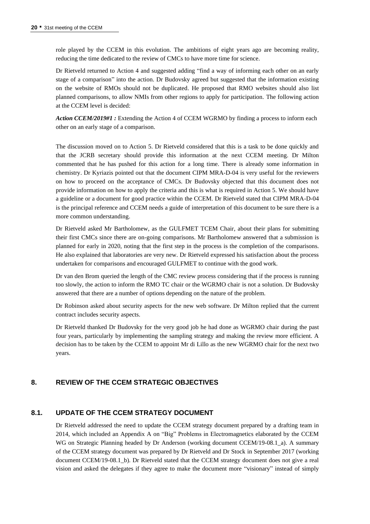role played by the CCEM in this evolution. The ambitions of eight years ago are becoming reality, reducing the time dedicated to the review of CMCs to have more time for science.

Dr Rietveld returned to Action 4 and suggested adding "find a way of informing each other on an early stage of a comparison" into the action. Dr Budovsky agreed but suggested that the information existing on the website of RMOs should not be duplicated. He proposed that RMO websites should also list planned comparisons, to allow NMIs from other regions to apply for participation. The following action at the CCEM level is decided:

*Action CCEM/2019#1 :* Extending the Action 4 of CCEM WGRMO by finding a process to inform each other on an early stage of a comparison.

The discussion moved on to Action 5. Dr Rietveld considered that this is a task to be done quickly and that the JCRB secretary should provide this information at the next CCEM meeting. Dr Milton commented that he has pushed for this action for a long time. There is already some information in chemistry. Dr Kyriazis pointed out that the document CIPM MRA-D-04 is very useful for the reviewers on how to proceed on the acceptance of CMCs. Dr Budovsky objected that this document does not provide information on how to apply the criteria and this is what is required in Action 5. We should have a guideline or a document for good practice within the CCEM. Dr Rietveld stated that CIPM MRA-D-04 is the principal reference and CCEM needs a guide of interpretation of this document to be sure there is a more common understanding.

Dr Rietveld asked Mr Bartholomew, as the GULFMET TCEM Chair, about their plans for submitting their first CMCs since there are on-going comparisons. Mr Bartholomew answered that a submission is planned for early in 2020, noting that the first step in the process is the completion of the comparisons. He also explained that laboratories are very new. Dr Rietveld expressed his satisfaction about the process undertaken for comparisons and encouraged GULFMET to continue with the good work.

Dr van den Brom queried the length of the CMC review process considering that if the process is running too slowly, the action to inform the RMO TC chair or the WGRMO chair is not a solution. Dr Budovsky answered that there are a number of options depending on the nature of the problem.

Dr Robinson asked about security aspects for the new web software. Dr Milton replied that the current contract includes security aspects.

Dr Rietveld thanked Dr Budovsky for the very good job he had done as WGRMO chair during the past four years, particularly by implementing the sampling strategy and making the review more efficient. A decision has to be taken by the CCEM to appoint Mr di Lillo as the new WGRMO chair for the next two years.

#### **8. REVIEW OF THE CCEM STRATEGIC OBJECTIVES**

#### **8.1. UPDATE OF THE CCEM STRATEGY DOCUMENT**

Dr Rietveld addressed the need to update the CCEM strategy document prepared by a drafting team in 2014, which included an Appendix A on "Big" Problems in Electromagnetics elaborated by the CCEM WG on Strategic Planning headed by Dr Anderson (working document CCEM/19-08.1\_a). A summary of the CCEM strategy document was prepared by Dr Rietveld and Dr Stock in September 2017 (working document CCEM/19-08.1 b). Dr Rietveld stated that the CCEM strategy document does not give a real vision and asked the delegates if they agree to make the document more "visionary" instead of simply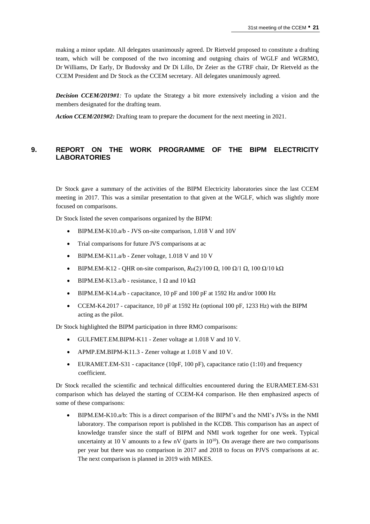making a minor update. All delegates unanimously agreed. Dr Rietveld proposed to constitute a drafting team, which will be composed of the two incoming and outgoing chairs of WGLF and WGRMO, Dr Williams, Dr Early, Dr Budovsky and Dr Di Lillo, Dr Zeier as the GTRF chair, Dr Rietveld as the CCEM President and Dr Stock as the CCEM secretary. All delegates unanimously agreed.

*Decision CCEM/2019#1:* To update the Strategy a bit more extensively including a vision and the members designated for the drafting team.

*Action CCEM/2019#2:* Drafting team to prepare the document for the next meeting in 2021.

## **9. REPORT ON THE WORK PROGRAMME OF THE BIPM ELECTRICITY LABORATORIES**

Dr Stock gave a summary of the activities of the BIPM Electricity laboratories since the last CCEM meeting in 2017. This was a similar presentation to that given at the WGLF, which was slightly more focused on comparisons.

Dr Stock listed the seven comparisons organized by the BIPM:

- BIPM.EM-K10.a/b JVS on-site comparison, 1.018 V and 10V
- Trial comparisons for future JVS comparisons at ac
- BIPM.EM-K11.a/b Zener voltage, 1.018 V and 10 V
- BIPM.EM-K12 QHR on-site comparison,  $R_H(2)/100 \Omega$ , 100 Ω/1 Ω, 100 Ω/10 kΩ
- BIPM.EM-K13.a/b resistance, 1 Ω and 10 kΩ
- BIPM.EM-K14.a/b capacitance, 10 pF and 100 pF at 1592 Hz and/or 1000 Hz
- CCEM-K4.2017 capacitance, 10 pF at 1592 Hz (optional 100 pF, 1233 Hz) with the BIPM acting as the pilot.

Dr Stock highlighted the BIPM participation in three RMO comparisons:

- GULFMET.EM.BIPM-K11 Zener voltage at 1.018 V and 10 V.
- APMP.EM.BIPM-K11.3 Zener voltage at 1.018 V and 10 V.
- EURAMET.EM-S31 capacitance (10pF, 100 pF), capacitance ratio (1:10) and frequency coefficient.

Dr Stock recalled the scientific and technical difficulties encountered during the EURAMET.EM-S31 comparison which has delayed the starting of CCEM-K4 comparison. He then emphasized aspects of some of these comparisons:

• BIPM.EM-K10.a/b: This is a direct comparison of the BIPM's and the NMI's JVSs in the NMI laboratory. The comparison report is published in the KCDB. This comparison has an aspect of knowledge transfer since the staff of BIPM and NMI work together for one week. Typical uncertainty at 10 V amounts to a few nV (parts in  $10^{10}$ ). On average there are two comparisons per year but there was no comparison in 2017 and 2018 to focus on PJVS comparisons at ac. The next comparison is planned in 2019 with MIKES.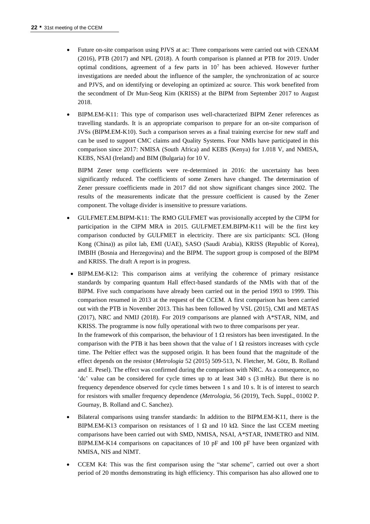- Future on-site comparison using PJVS at ac: Three comparisons were carried out with CENAM (2016), PTB (2017) and NPL (2018). A fourth comparison is planned at PTB for 2019. Under optimal conditions, agreement of a few parts in  $10<sup>7</sup>$  has been achieved. However further investigations are needed about the influence of the sampler, the synchronization of ac source and PJVS, and on identifying or developing an optimized ac source. This work benefited from the secondment of Dr Mun-Seog Kim (KRISS) at the BIPM from September 2017 to August 2018.
- BIPM.EM-K11: This type of comparison uses well-characterized BIPM Zener references as travelling standards. It is an appropriate comparison to prepare for an on-site comparison of JVSs (BIPM.EM-K10). Such a comparison serves as a final training exercise for new staff and can be used to support CMC claims and Quality Systems. Four NMIs have participated in this comparison since 2017: NMISA (South Africa) and KEBS (Kenya) for 1.018 V, and NMISA, KEBS, NSAI (Ireland) and BIM (Bulgaria) for 10 V.

BIPM Zener temp coefficients were re-determined in 2016: the uncertainty has been significantly reduced. The coefficients of some Zeners have changed. The determination of Zener pressure coefficients made in 2017 did not show significant changes since 2002. The results of the measurements indicate that the pressure coefficient is caused by the Zener component. The voltage divider is insensitive to pressure variations.

- GULFMET.EM.BIPM-K11: The RMO GULFMET was provisionally accepted by the CIPM for participation in the CIPM MRA in 2015. GULFMET.EM.BIPM-K11 will be the first key comparison conducted by GULFMET in electricity. There are six participants: SCL (Hong Kong (China)) as pilot lab, EMI (UAE), SASO (Saudi Arabia), KRISS (Republic of Korea), IMBIH (Bosnia and Herzegovina) and the BIPM. The support group is composed of the BIPM and KRISS. The draft A report is in progress.
- BIPM.EM-K12: This comparison aims at verifying the coherence of primary resistance standards by comparing quantum Hall effect-based standards of the NMIs with that of the BIPM. Five such comparisons have already been carried out in the period 1993 to 1999. This comparison resumed in 2013 at the request of the CCEM. A first comparison has been carried out with the PTB in November 2013. This has been followed by VSL (2015), CMI and METAS (2017), NRC and NMIJ (2018). For 2019 comparisons are planned with A\*STAR, NIM, and KRISS. The programme is now fully operational with two to three comparisons per year. In the framework of this comparison, the behaviour of 1  $\Omega$  resistors has been investigated. In the comparison with the PTB it has been shown that the value of  $1 \Omega$  resistors increases with cycle time. The Peltier effect was the supposed origin. It has been found that the magnitude of the effect depends on the resistor (*Metrologia* 52 (2015) 509-513, N. Fletcher, M. Götz, B. Rolland and E. Pesel). The effect was confirmed during the comparison with NRC. As a consequence, no 'dc' value can be considered for cycle times up to at least 340 s (3 mHz). But there is no frequency dependence observed for cycle times between 1 s and 10 s. It is of interest to search for resistors with smaller frequency dependence (*Metrologia*, 56 (2019), Tech. Suppl., 01002 P. Gournay, B. Rolland and C. Sanchez).
- Bilateral comparisons using transfer standards: In addition to the BIPM.EM-K11, there is the BIPM.EM-K13 comparison on resistances of 1 Ω and 10 kΩ. Since the last CCEM meeting comparisons have been carried out with SMD, NMISA, NSAI, A\*STAR, INMETRO and NIM. BIPM.EM-K14 comparisons on capacitances of 10 pF and 100 pF have been organized with NMISA, NIS and NIMT.
- CCEM K4: This was the first comparison using the "star scheme", carried out over a short period of 20 months demonstrating its high efficiency. This comparison has also allowed one to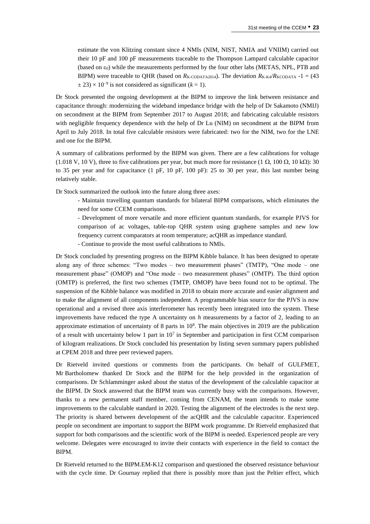estimate the von Klitzing constant since 4 NMIs (NIM, NIST, NMIA and VNIIM) carried out their 10 pF and 100 pF measurements traceable to the Thompson Lampard calculable capacitor (based on  $\varepsilon_0$ ) while the measurements performed by the four other labs (METAS, NPL, PTB and BIPM) were traceable to QHR (based on  $R_{K\text{-CODATA2014}}$ ). The deviation  $R_{K\text{-K4}}/R_{K\text{-CODATA}} -1 = (43)$  $\pm$  23) × 10<sup>-9</sup> is not considered as significant ( $k = 1$ ).

Dr Stock presented the ongoing development at the BIPM to improve the link between resistance and capacitance through: modernizing the wideband impedance bridge with the help of Dr Sakamoto (NMIJ) on secondment at the BIPM from September 2017 to August 2018; and fabricating calculable resistors with negligible frequency dependence with the help of Dr Lu (NIM) on secondment at the BIPM from April to July 2018. In total five calculable resistors were fabricated: two for the NIM, two for the LNE and one for the BIPM.

A summary of calibrations performed by the BIPM was given. There are a few calibrations for voltage (1.018 V, 10 V), three to five calibrations per year, but much more for resistance (1  $\Omega$ , 100  $\Omega$ , 10 k $\Omega$ ): 30 to 35 per year and for capacitance (1 pF, 10 pF, 100 pF): 25 to 30 per year, this last number being relatively stable.

Dr Stock summarized the outlook into the future along three axes:

- Maintain travelling quantum standards for bilateral BIPM comparisons, which eliminates the need for some CCEM comparisons.

- Development of more versatile and more efficient quantum standards, for example PJVS for comparison of ac voltages, table-top QHR system using graphene samples and new low frequency current comparators at room temperature; acQHR as impedance standard.

- Continue to provide the most useful calibrations to NMIs.

Dr Stock concluded by presenting progress on the BIPM Kibble balance. It has been designed to operate along any of three schemes: "Two modes – two measurement phases" (TMTP), "One mode – one measurement phase" (OMOP) and "One mode – two measurement phases" (OMTP). The third option (OMTP) is preferred, the first two schemes (TMTP, OMOP) have been found not to be optimal. The suspension of the Kibble balance was modified in 2018 to obtain more accurate and easier alignment and to make the alignment of all components independent. A programmable bias source for the PJVS is now operational and a revised three axis interferometer has recently been integrated into the system. These improvements have reduced the type A uncertainty on *h* measurements by a factor of 2, leading to an approximate estimation of uncertainty of 8 parts in  $10<sup>8</sup>$ . The main objectives in 2019 are the publication of a result with uncertainty below 1 part in  $10<sup>7</sup>$  in September and participation in first CCM comparison of kilogram realizations. Dr Stock concluded his presentation by listing seven summary papers published at CPEM 2018 and three peer reviewed papers.

Dr Rietveld invited questions or comments from the participants. On behalf of GULFMET, Mr Bartholomew thanked Dr Stock and the BIPM for the help provided in the organization of comparisons. Dr Schlamminger asked about the status of the development of the calculable capacitor at the BIPM. Dr Stock answered that the BIPM team was currently busy with the comparisons. However, thanks to a new permanent staff member, coming from CENAM, the team intends to make some improvements to the calculable standard in 2020. Testing the alignment of the electrodes is the next step. The priority is shared between development of the acQHR and the calculable capacitor. Experienced people on secondment are important to support the BIPM work programme. Dr Rietveld emphasized that support for both comparisons and the scientific work of the BIPM is needed. Experienced people are very welcome. Delegates were encouraged to invite their contacts with experience in the field to contact the BIPM.

Dr Rietveld returned to the BIPM.EM-K12 comparison and questioned the observed resistance behaviour with the cycle time. Dr Gournay replied that there is possibly more than just the Peltier effect, which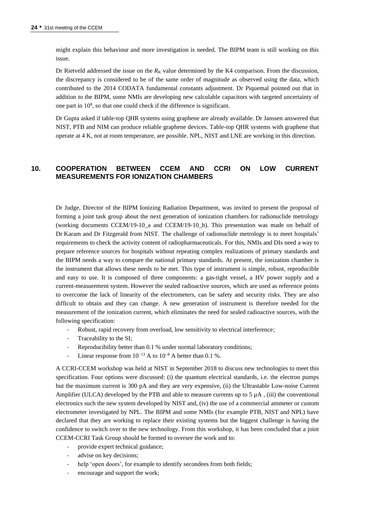might explain this behaviour and more investigation is needed. The BIPM team is still working on this issue.

Dr Rietveld addressed the issue on the  $R_K$  value determined by the K4 comparison. From the discussion, the discrepancy is considered to be of the same order of magnitude as observed using the data, which contributed to the 2014 CODATA fundamental constants adjustment. Dr Piquemal pointed out that in addition to the BIPM, some NMIs are developing new calculable capacitors with targeted uncertainty of one part in  $10^8$ , so that one could check if the difference is significant.

Dr Gupta asked if table-top QHR systems using graphene are already available. Dr Janssen answered that NIST, PTB and NIM can produce reliable graphene devices. Table-top QHR systems with graphene that operate at 4 K, not at room temperature, are possible. NPL, NIST and LNE are working in this direction.

## **10. COOPERATION BETWEEN CCEM AND CCRI ON LOW CURRENT MEASUREMENTS FOR IONIZATION CHAMBERS**

Dr Judge, Director of the BIPM Ionizing Radiation Department, was invited to present the proposal of forming a joint task group about the next generation of ionization chambers for radionuclide metrology (working documents CCEM/19-10\_a and CCEM/19-10\_b). This presentation was made on behalf of Dr Karam and Dr Fitzgerald from NIST. The challenge of radionuclide metrology is to meet hospitals' requirements to check the activity content of radiopharmaceuticals. For this, NMIs and DIs need a way to prepare reference sources for hospitals without repeating complex realizations of primary standards and the BIPM needs a way to compare the national primary standards. At present, the ionization chamber is the instrument that allows these needs to be met. This type of instrument is simple, robust, reproducible and easy to use. It is composed of three components: a gas-tight vessel, a HV power supply and a current-measurement system. However the sealed radioactive sources, which are used as reference points to overcome the lack of linearity of the electrometers, can be safety and security risks. They are also difficult to obtain and they can change. A new generation of instrument is therefore needed for the measurement of the ionization current, which eliminates the need for sealed radioactive sources, with the following specification:

- Robust, rapid recovery from overload, low sensitivity to electrical interference;
- Traceability to the SI;
- Reproducibility better than 0.1 % under normal laboratory conditions;
- Linear response from  $10^{-13}$  A to  $10^{-8}$  A better than 0.1 %.

A CCRI-CCEM workshop was held at NIST in September 2018 to discuss new technologies to meet this specification. Four options were discussed: (i) the quantum electrical standards, i.e. the electron pumps but the maximum current is 300 pA and they are very expensive, (ii) the Ultrastable Low-noise Current Amplifier (ULCA) developed by the PTB and able to measure currents up to  $5 \mu A$ , (iii) the conventional electronics such the new system developed by NIST and, (iv) the use of a commercial ammeter or custom electrometer investigated by NPL. The BIPM and some NMIs (for example PTB, NIST and NPL) have declared that they are working to replace their existing systems but the biggest challenge is having the confidence to switch over to the new technology. From this workshop, it has been concluded that a joint CCEM-CCRI Task Group should be formed to oversee the work and to:

- provide expert technical guidance;
- advise on key decisions;
- help 'open doors', for example to identify secondees from both fields;
- encourage and support the work;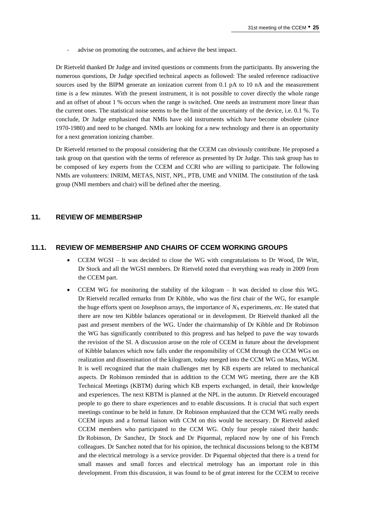advise on promoting the outcomes, and achieve the best impact.

Dr Rietveld thanked Dr Judge and invited questions or comments from the participants. By answering the numerous questions, Dr Judge specified technical aspects as followed: The sealed reference radioactive sources used by the BIPM generate an ionization current from 0.1 pA to 10 nA and the measurement time is a few minutes. With the present instrument, it is not possible to cover directly the whole range and an offset of about 1 % occurs when the range is switched. One needs an instrument more linear than the current ones. The statistical noise seems to be the limit of the uncertainty of the device, i.e. 0.1 %. To conclude, Dr Judge emphasized that NMIs have old instruments which have become obsolete (since 1970-1980) and need to be changed. NMIs are looking for a new technology and there is an opportunity for a next generation ionizing chamber.

Dr Rietveld returned to the proposal considering that the CCEM can obviously contribute. He proposed a task group on that question with the terms of reference as presented by Dr Judge. This task group has to be composed of key experts from the CCEM and CCRI who are willing to participate. The following NMIs are volunteers: INRIM, METAS, NIST, NPL, PTB, UME and VNIIM. The constitution of the task group (NMI members and chair) will be defined after the meeting.

#### **11. REVIEW OF MEMBERSHIP**

## **11.1. REVIEW OF MEMBERSHIP AND CHAIRS OF CCEM WORKING GROUPS**

- CCEM WGSI It was decided to close the WG with congratulations to Dr Wood, Dr Witt, Dr Stock and all the WGSI members. Dr Rietveld noted that everything was ready in 2009 from the CCEM part.
- CCEM WG for monitoring the stability of the kilogram It was decided to close this WG. Dr Rietveld recalled remarks from Dr Kibble, who was the first chair of the WG, for example the huge efforts spent on Josephson arrays, the importance of  $N_A$  experiments, *etc*. He stated that there are now ten Kibble balances operational or in development. Dr Rietveld thanked all the past and present members of the WG. Under the chairmanship of Dr Kibble and Dr Robinson the WG has significantly contributed to this progress and has helped to pave the way towards the revision of the SI. A discussion arose on the role of CCEM in future about the development of Kibble balances which now falls under the responsibility of CCM through the CCM WGs on realization and dissemination of the kilogram, today merged into the CCM WG on Mass, WGM. It is well recognized that the main challenges met by KB experts are related to mechanical aspects. Dr Robinson reminded that in addition to the CCM WG meeting, there are the KB Technical Meetings (KBTM) during which KB experts exchanged, in detail, their knowledge and experiences. The next KBTM is planned at the NPL in the autumn. Dr Rietveld encouraged people to go there to share experiences and to enable discussions. It is crucial that such expert meetings continue to be held in future. Dr Robinson emphasized that the CCM WG really needs CCEM inputs and a formal liaison with CCM on this would be necessary. Dr Rietveld asked CCEM members who participated to the CCM WG. Only four people raised their hands: Dr Robinson, Dr Sanchez, Dr Stock and Dr Piquemal, replaced now by one of his French colleagues. Dr Sanchez noted that for his opinion, the technical discussions belong to the KBTM and the electrical metrology is a service provider. Dr Piquemal objected that there is a trend for small masses and small forces and electrical metrology has an important role in this development. From this discussion, it was found to be of great interest for the CCEM to receive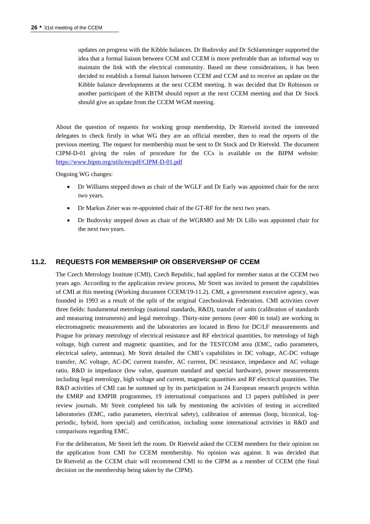updates on progress with the Kibble balances. Dr Budovsky and Dr Schlamminger supported the idea that a formal liaison between CCM and CCEM is more preferable than an informal way to maintain the link with the electrical community. Based on these considerations, it has been decided to establish a formal liaison between CCEM and CCM and to receive an update on the Kibble balance developments at the next CCEM meeting. It was decided that Dr Robinson or another participant of the KBTM should report at the next CCEM meeting and that Dr Stock should give an update from the CCEM WGM meeting.

About the question of requests for working group membership, Dr Rietveld invited the interested delegates to check firstly in what WG they are an official member, then to read the reports of the previous meeting. The request for membership must be sent to Dr Stock and Dr Rietveld. The document CIPM-D-01 giving the rules of procedure for the CCs is available on the BIPM website: <https://www.bipm.org/utils/en/pdf/CIPM-D-01.pdf>

Ongoing WG changes:

- Dr Williams stepped down as chair of the WGLF and Dr Early was appointed chair for the next two years.
- Dr Markus Zeier was re-appointed chair of the GT-RF for the next two years.
- Dr Budovsky stepped down as chair of the WGRMO and Mr Di Lillo was appointed chair for the next two years.

## **11.2. REQUESTS FOR MEMBERSHIP OR OBSERVERSHIP OF CCEM**

The Czech Metrology Institute (CMI), Czech Republic, had applied for member status at the CCEM two years ago. According to the application review process, Mr Streit was invited to present the capabilities of CMI at this meeting (Working document CCEM/19-11.2). CMI, a government executive agency, was founded in 1993 as a result of the split of the original Czechoslovak Federation. CMI activities cover three fields: fundamental metrology (national standards, R&D), transfer of units (calibration of standards and measuring instruments) and legal metrology. Thirty-nine persons (over 400 in total) are working in electromagnetic measurements and the laboratories are located in Brno for DC/LF measurements and Prague for primary metrology of electrical resistance and RF electrical quantities, for metrology of high voltage, high current and magnetic quantities, and for the TESTCOM area (EMC, radio parameters, electrical safety, antennas). Mr Streit detailed the CMI's capabilities in DC voltage, AC-DC voltage transfer, AC voltage, AC-DC current transfer, AC current, DC resistance, impedance and AC voltage ratio, R&D in impedance (low value, quantum standard and special hardware), power measurements including legal metrology, high voltage and current, magnetic quantities and RF electrical quantities. The R&D activities of CMI can be summed up by its participation in 24 European research projects within the EMRP and EMPIR programmes, 19 international comparisons and 13 papers published in peer review journals. Mr Streit completed his talk by mentioning the activities of testing in accredited laboratories (EMC, radio parameters, electrical safety), calibration of antennas (loop, biconical, logperiodic, hybrid, horn special) and certification, including some international activities in R&D and comparisons regarding EMC.

For the deliberation, Mr Streit left the room. Dr Rietveld asked the CCEM members for their opinion on the application from CMI for CCEM membership. No opinion was against. It was decided that Dr Rietveld as the CCEM chair will recommend CMI to the CIPM as a member of CCEM (the final decision on the membership being taken by the CIPM).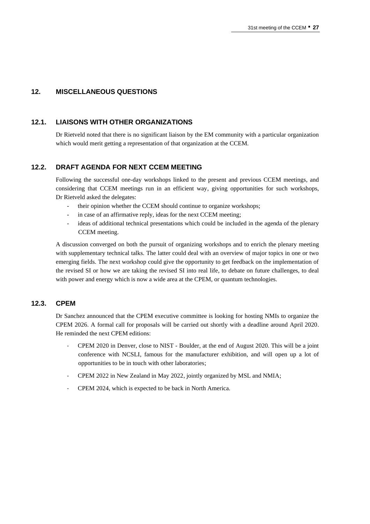## **12. MISCELLANEOUS QUESTIONS**

### **12.1. LIAISONS WITH OTHER ORGANIZATIONS**

Dr Rietveld noted that there is no significant liaison by the EM community with a particular organization which would merit getting a representation of that organization at the CCEM.

## **12.2. DRAFT AGENDA FOR NEXT CCEM MEETING**

Following the successful one-day workshops linked to the present and previous CCEM meetings, and considering that CCEM meetings run in an efficient way, giving opportunities for such workshops, Dr Rietveld asked the delegates:

- their opinion whether the CCEM should continue to organize workshops;
- in case of an affirmative reply, ideas for the next CCEM meeting;
- ideas of additional technical presentations which could be included in the agenda of the plenary CCEM meeting.

A discussion converged on both the pursuit of organizing workshops and to enrich the plenary meeting with supplementary technical talks. The latter could deal with an overview of major topics in one or two emerging fields. The next workshop could give the opportunity to get feedback on the implementation of the revised SI or how we are taking the revised SI into real life, to debate on future challenges, to deal with power and energy which is now a wide area at the CPEM, or quantum technologies.

### **12.3. CPEM**

Dr Sanchez announced that the CPEM executive committee is looking for hosting NMIs to organize the CPEM 2026. A formal call for proposals will be carried out shortly with a deadline around April 2020. He reminded the next CPEM editions:

- CPEM 2020 in Denver, close to NIST Boulder, at the end of August 2020. This will be a joint conference with NCSLI, famous for the manufacturer exhibition, and will open up a lot of opportunities to be in touch with other laboratories;
- CPEM 2022 in New Zealand in May 2022, jointly organized by MSL and NMIA;
- CPEM 2024, which is expected to be back in North America.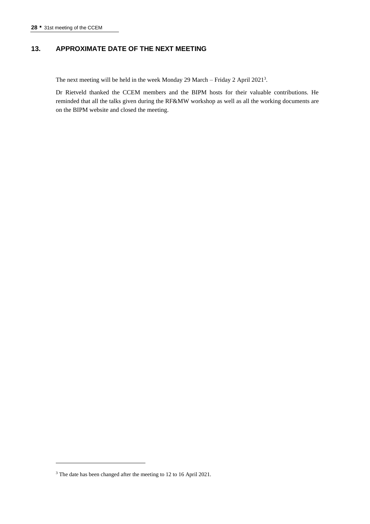## **13. APPROXIMATE DATE OF THE NEXT MEETING**

The next meeting will be held in the week Monday 29 March - Friday 2 April 2021<sup>3</sup>.

Dr Rietveld thanked the CCEM members and the BIPM hosts for their valuable contributions. He reminded that all the talks given during the RF&MW workshop as well as all the working documents are on the BIPM website and closed the meeting.

<sup>3</sup> The date has been changed after the meeting to 12 to 16 April 2021.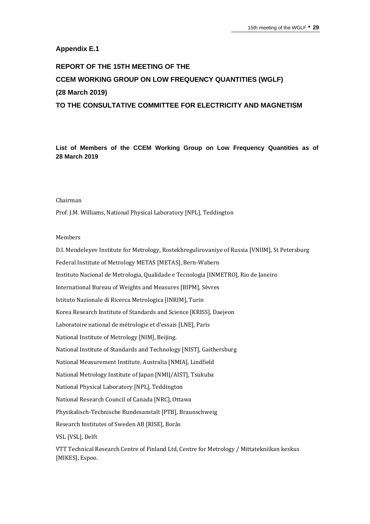## **Appendix E.1**

## **REPORT OF THE 15TH MEETING OF THE CCEM WORKING GROUP ON LOW FREQUENCY QUANTITIES (WGLF) (28 March 2019) TO THE CONSULTATIVE COMMITTEE FOR ELECTRICITY AND MAGNETISM**

**List of Members of the CCEM Working Group on Low Frequency Quantities as of 28 March 2019**

#### Chairman

Prof. J.M. Williams, National Physical Laboratory [NPL], Teddington

#### Members

D.I. Mendeleyev Institute for Metrology, Rostekhregulirovaniye of Russia [VNIIM], St Petersburg Federal Institute of Metrology METAS [METAS], Bern-Wabern Instituto Nacional de Metrologia, Qualidade e Tecnologia [INMETRO], Rio de Janeiro International Bureau of Weights and Measures [BIPM], Sèvres Istituto Nazionale di Ricerca Metrologica [INRIM], Turin Korea Research Institute of Standards and Science [KRISS], Daejeon Laboratoire national de métrologie et d'essais [LNE], Paris National Institute of Metrology [NIM], Beijing. National Institute of Standards and Technology [NIST], Gaithersburg National Measurement Institute, Australia [NMIA], Lindfield National Metrology Institute of Japan [NMIJ/AIST], Tsukuba National Physical Laboratory [NPL], Teddington National Research Council of Canada [NRC], Ottawa Physikalisch-Technische Bundesanstalt [PTB], Braunschweig Research Institutes of Sweden AB [RISE], Borås VSL [VSL], Delft

VTT Technical Research Centre of Finland Ltd, Centre for Metrology / Mittatekniikan keskus [MIKES], Espoo.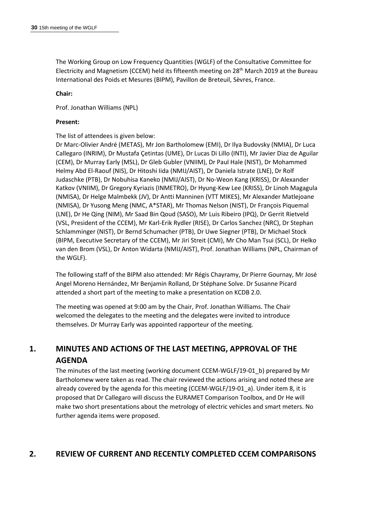The Working Group on Low Frequency Quantities (WGLF) of the Consultative Committee for Electricity and Magnetism (CCEM) held its fifteenth meeting on 28<sup>th</sup> March 2019 at the Bureau International des Poids et Mesures (BIPM), Pavillon de Breteuil, Sèvres, France.

### **Chair:**

Prof. Jonathan Williams (NPL)

#### **Present:**

### The list of attendees is given below:

Dr Marc-Olivier André (METAS), Mr Jon Bartholomew (EMI), Dr Ilya Budovsky (NMIA), Dr Luca Callegaro (INRIM), Dr Mustafa Çetintas (UME), Dr Lucas Di Lillo (INTI), Mr Javier Diaz de Aguilar (CEM), Dr Murray Early (MSL), Dr Gleb Gubler (VNIIM), Dr Paul Hale (NIST), Dr Mohammed Helmy Abd El-Raouf (NIS), Dr Hitoshi Iida (NMIJ/AIST), Dr Daniela Istrate (LNE), Dr Rolf Judaschke (PTB), Dr Nobuhisa Kaneko (NMIJ/AIST), Dr No-Weon Kang (KRISS), Dr Alexander Katkov (VNIIM), Dr Gregory Kyriazis (INMETRO), Dr Hyung-Kew Lee (KRISS), Dr Linoh Magagula (NMISA), Dr Helge Malmbekk (JV), Dr Antti Manninen (VTT MIKES), Mr Alexander Matlejoane (NMISA), Dr Yusong Meng (NMC, A\*STAR), Mr Thomas Nelson (NIST), Dr François Piquemal (LNE), Dr He Qing (NIM), Mr Saad Bin Qoud (SASO), Mr Luis Ribeiro (IPQ), Dr Gerrit Rietveld (VSL, President of the CCEM), Mr Karl-Erik Rydler (RISE), Dr Carlos Sanchez (NRC), Dr Stephan Schlamminger (NIST), Dr Bernd Schumacher (PTB), Dr Uwe Siegner (PTB), Dr Michael Stock (BIPM, Executive Secretary of the CCEM), Mr Jiri Streit (CMI), Mr Cho Man Tsui (SCL), Dr Helko van den Brom (VSL), Dr Anton Widarta (NMIJ/AIST), Prof. Jonathan Williams (NPL, Chairman of the WGLF).

The following staff of the BIPM also attended: Mr Régis Chayramy, Dr Pierre Gournay, Mr José Angel Moreno Hernández, Mr Benjamin Rolland, Dr Stéphane Solve. Dr Susanne Picard attended a short part of the meeting to make a presentation on KCDB 2.0.

The meeting was opened at 9:00 am by the Chair, Prof. Jonathan Williams. The Chair welcomed the delegates to the meeting and the delegates were invited to introduce themselves. Dr Murray Early was appointed rapporteur of the meeting.

## **1. MINUTES AND ACTIONS OF THE LAST MEETING, APPROVAL OF THE AGENDA**

The minutes of the last meeting (working document CCEM-WGLF/19-01\_b) prepared by Mr Bartholomew were taken as read. The chair reviewed the actions arising and noted these are already covered by the agenda for this meeting (CCEM-WGLF/19-01\_a). Under item 8, it is proposed that Dr Callegaro will discuss the EURAMET Comparison Toolbox, and Dr He will make two short presentations about the metrology of electric vehicles and smart meters. No further agenda items were proposed.

## **2. REVIEW OF CURRENT AND RECENTLY COMPLETED CCEM COMPARISONS**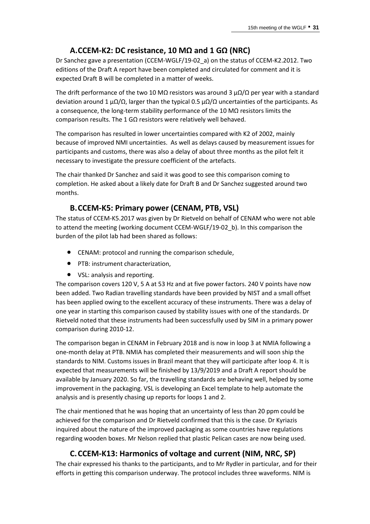## **A.CCEM-K2: DC resistance, 10 MΩ and 1 GΩ (NRC)**

Dr Sanchez gave a presentation (CCEM-WGLF/19-02\_a) on the status of CCEM-K2.2012. Two editions of the Draft A report have been completed and circulated for comment and it is expected Draft B will be completed in a matter of weeks.

The drift performance of the two 10 MΩ resistors was around 3  $\mu\Omega/\Omega$  per year with a standard deviation around 1  $\mu\Omega/\Omega$ , larger than the typical 0.5  $\mu\Omega/\Omega$  uncertainties of the participants. As a consequence, the long-term stability performance of the 10 MΩ resistors limits the comparison results. The 1 GΩ resistors were relatively well behaved.

The comparison has resulted in lower uncertainties compared with K2 of 2002, mainly because of improved NMI uncertainties. As well as delays caused by measurement issues for participants and customs, there was also a delay of about three months as the pilot felt it necessary to investigate the pressure coefficient of the artefacts.

The chair thanked Dr Sanchez and said it was good to see this comparison coming to completion. He asked about a likely date for Draft B and Dr Sanchez suggested around two months.

## **B.CCEM-K5: Primary power (CENAM, PTB, VSL)**

The status of CCEM-K5.2017 was given by Dr Rietveld on behalf of CENAM who were not able to attend the meeting (working document CCEM-WGLF/19-02 b). In this comparison the burden of the pilot lab had been shared as follows:

- CENAM: protocol and running the comparison schedule,
- PTB: instrument characterization,
- VSL: analysis and reporting.

The comparison covers 120 V, 5 A at 53 Hz and at five power factors. 240 V points have now been added. Two Radian travelling standards have been provided by NIST and a small offset has been applied owing to the excellent accuracy of these instruments. There was a delay of one year in starting this comparison caused by stability issues with one of the standards. Dr Rietveld noted that these instruments had been successfully used by SIM in a primary power comparison during 2010-12.

The comparison began in CENAM in February 2018 and is now in loop 3 at NMIA following a one-month delay at PTB. NMIA has completed their measurements and will soon ship the standards to NIM. Customs issues in Brazil meant that they will participate after loop 4. It is expected that measurements will be finished by 13/9/2019 and a Draft A report should be available by January 2020. So far, the travelling standards are behaving well, helped by some improvement in the packaging. VSL is developing an Excel template to help automate the analysis and is presently chasing up reports for loops 1 and 2.

The chair mentioned that he was hoping that an uncertainty of less than 20 ppm could be achieved for the comparison and Dr Rietveld confirmed that this is the case. Dr Kyriazis inquired about the nature of the improved packaging as some countries have regulations regarding wooden boxes. Mr Nelson replied that plastic Pelican cases are now being used.

## **C.CCEM-K13: Harmonics of voltage and current (NIM, NRC, SP)**

The chair expressed his thanks to the participants, and to Mr Rydler in particular, and for their efforts in getting this comparison underway. The protocol includes three waveforms. NIM is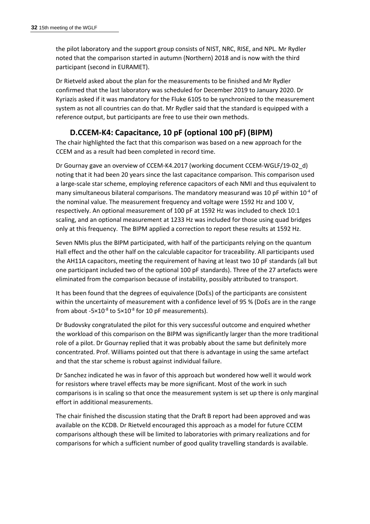the pilot laboratory and the support group consists of NIST, NRC, RISE, and NPL. Mr Rydler noted that the comparison started in autumn (Northern) 2018 and is now with the third participant (second in EURAMET).

Dr Rietveld asked about the plan for the measurements to be finished and Mr Rydler confirmed that the last laboratory was scheduled for December 2019 to January 2020. Dr Kyriazis asked if it was mandatory for the Fluke 6105 to be synchronized to the measurement system as not all countries can do that. Mr Rydler said that the standard is equipped with a reference output, but participants are free to use their own methods.

## **D.CCEM-K4: Capacitance, 10 pF (optional 100 pF) (BIPM)**

The chair highlighted the fact that this comparison was based on a new approach for the CCEM and as a result had been completed in record time.

Dr Gournay gave an overview of CCEM-K4.2017 (working document CCEM-WGLF/19-02\_d) noting that it had been 20 years since the last capacitance comparison. This comparison used a large-scale star scheme, employing reference capacitors of each NMI and thus equivalent to many simultaneous bilateral comparisons. The mandatory measurand was 10 pF within  $10^{-4}$  of the nominal value. The measurement frequency and voltage were 1592 Hz and 100 V, respectively. An optional measurement of 100 pF at 1592 Hz was included to check 10:1 scaling, and an optional measurement at 1233 Hz was included for those using quad bridges only at this frequency. The BIPM applied a correction to report these results at 1592 Hz.

Seven NMIs plus the BIPM participated, with half of the participants relying on the quantum Hall effect and the other half on the calculable capacitor for traceability. All participants used the AH11A capacitors, meeting the requirement of having at least two 10 pF standards (all but one participant included two of the optional 100 pF standards). Three of the 27 artefacts were eliminated from the comparison because of instability, possibly attributed to transport.

It has been found that the degrees of equivalence (DoEs) of the participants are consistent within the uncertainty of measurement with a confidence level of 95 % (DoEs are in the range from about  $-5\times10^{-8}$  to  $5\times10^{-8}$  for 10 pF measurements).

Dr Budovsky congratulated the pilot for this very successful outcome and enquired whether the workload of this comparison on the BIPM was significantly larger than the more traditional role of a pilot. Dr Gournay replied that it was probably about the same but definitely more concentrated. Prof. Williams pointed out that there is advantage in using the same artefact and that the star scheme is robust against individual failure.

Dr Sanchez indicated he was in favor of this approach but wondered how well it would work for resistors where travel effects may be more significant. Most of the work in such comparisons is in scaling so that once the measurement system is set up there is only marginal effort in additional measurements.

The chair finished the discussion stating that the Draft B report had been approved and was available on the KCDB. Dr Rietveld encouraged this approach as a model for future CCEM comparisons although these will be limited to laboratories with primary realizations and for comparisons for which a sufficient number of good quality travelling standards is available.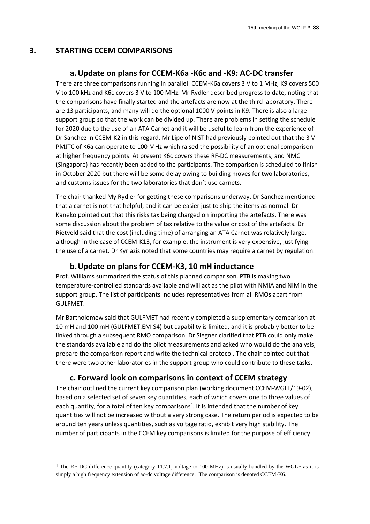## **3. STARTING CCEM COMPARISONS**

## **a.Update on plans for CCEM-K6a -K6c and -K9: AC-DC transfer**

There are three comparisons running in parallel: CCEM-K6a covers 3 V to 1 MHz, K9 covers 500 V to 100 kHz and K6c covers 3 V to 100 MHz. Mr Rydler described progress to date, noting that the comparisons have finally started and the artefacts are now at the third laboratory. There are 13 participants, and many will do the optional 1000 V points in K9. There is also a large support group so that the work can be divided up. There are problems in setting the schedule for 2020 due to the use of an ATA Carnet and it will be useful to learn from the experience of Dr Sanchez in CCEM-K2 in this regard. Mr Lipe of NIST had previously pointed out that the 3 V PMJTC of K6a can operate to 100 MHz which raised the possibility of an optional comparison at higher frequency points. At present K6c covers these RF-DC measurements, and NMC (Singapore) has recently been added to the participants. The comparison is scheduled to finish in October 2020 but there will be some delay owing to building moves for two laboratories, and customs issues for the two laboratories that don't use carnets.

The chair thanked My Rydler for getting these comparisons underway. Dr Sanchez mentioned that a carnet is not that helpful, and it can be easier just to ship the items as normal. Dr Kaneko pointed out that this risks tax being charged on importing the artefacts. There was some discussion about the problem of tax relative to the value or cost of the artefacts. Dr Rietveld said that the cost (including time) of arranging an ATA Carnet was relatively large, although in the case of CCEM-K13, for example, the instrument is very expensive, justifying the use of a carnet. Dr Kyriazis noted that some countries may require a carnet by regulation.

## **b.Update on plans for CCEM-K3, 10 mH inductance**

Prof. Williams summarized the status of this planned comparison. PTB is making two temperature-controlled standards available and will act as the pilot with NMIA and NIM in the support group. The list of participants includes representatives from all RMOs apart from GULFMET.

Mr Bartholomew said that GULFMET had recently completed a supplementary comparison at 10 mH and 100 mH (GULFMET.EM-S4) but capability is limited, and it is probably better to be linked through a subsequent RMO comparison. Dr Siegner clarified that PTB could only make the standards available and do the pilot measurements and asked who would do the analysis, prepare the comparison report and write the technical protocol. The chair pointed out that there were two other laboratories in the support group who could contribute to these tasks.

## **c. Forward look on comparisons in context of CCEM strategy**

The chair outlined the current key comparison plan (working document CCEM-WGLF/19-02), based on a selected set of seven key quantities, each of which covers one to three values of each quantity, for a total of ten key comparisons<sup>4</sup>. It is intended that the number of key quantities will not be increased without a very strong case. The return period is expected to be around ten years unless quantities, such as voltage ratio, exhibit very high stability. The number of participants in the CCEM key comparisons is limited for the purpose of efficiency.

<sup>4</sup> The RF-DC difference quantity (category 11.7.1, voltage to 100 MHz) is usually handled by the WGLF as it is simply a high frequency extension of ac-dc voltage difference. The comparison is denoted CCEM-K6.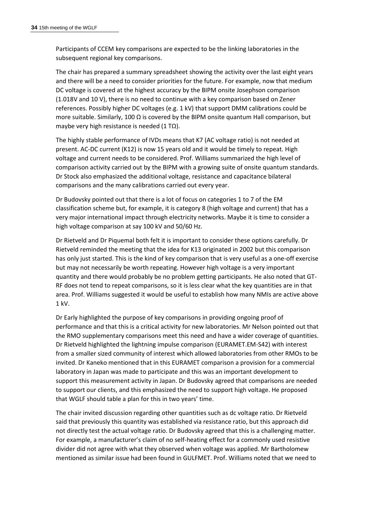Participants of CCEM key comparisons are expected to be the linking laboratories in the subsequent regional key comparisons.

The chair has prepared a summary spreadsheet showing the activity over the last eight years and there will be a need to consider priorities for the future. For example, now that medium DC voltage is covered at the highest accuracy by the BIPM onsite Josephson comparison (1.018V and 10 V), there is no need to continue with a key comparison based on Zener references. Possibly higher DC voltages (e.g. 1 kV) that support DMM calibrations could be more suitable. Similarly, 100  $\Omega$  is covered by the BIPM onsite quantum Hall comparison, but maybe very high resistance is needed (1 T $\Omega$ ).

The highly stable performance of IVDs means that K7 (AC voltage ratio) is not needed at present. AC-DC current (K12) is now 15 years old and it would be timely to repeat. High voltage and current needs to be considered. Prof. Williams summarized the high level of comparison activity carried out by the BIPM with a growing suite of onsite quantum standards. Dr Stock also emphasized the additional voltage, resistance and capacitance bilateral comparisons and the many calibrations carried out every year.

Dr Budovsky pointed out that there is a lot of focus on categories 1 to 7 of the EM classification scheme but, for example, it is category 8 (high voltage and current) that has a very major international impact through electricity networks. Maybe it is time to consider a high voltage comparison at say 100 kV and 50/60 Hz.

Dr Rietveld and Dr Piquemal both felt it is important to consider these options carefully. Dr Rietveld reminded the meeting that the idea for K13 originated in 2002 but this comparison has only just started. This is the kind of key comparison that is very useful as a one-off exercise but may not necessarily be worth repeating. However high voltage is a very important quantity and there would probably be no problem getting participants. He also noted that GT-RF does not tend to repeat comparisons, so it is less clear what the key quantities are in that area. Prof. Williams suggested it would be useful to establish how many NMIs are active above 1 kV.

Dr Early highlighted the purpose of key comparisons in providing ongoing proof of performance and that this is a critical activity for new laboratories. Mr Nelson pointed out that the RMO supplementary comparisons meet this need and have a wider coverage of quantities. Dr Rietveld highlighted the lightning impulse comparison (EURAMET.EM-S42) with interest from a smaller sized community of interest which allowed laboratories from other RMOs to be invited. Dr Kaneko mentioned that in this EURAMET comparison a provision for a commercial laboratory in Japan was made to participate and this was an important development to support this measurement activity in Japan. Dr Budovsky agreed that comparisons are needed to support our clients, and this emphasized the need to support high voltage. He proposed that WGLF should table a plan for this in two years' time.

The chair invited discussion regarding other quantities such as dc voltage ratio. Dr Rietveld said that previously this quantity was established via resistance ratio, but this approach did not directly test the actual voltage ratio. Dr Budovsky agreed that this is a challenging matter. For example, a manufacturer's claim of no self-heating effect for a commonly used resistive divider did not agree with what they observed when voltage was applied. Mr Bartholomew mentioned as similar issue had been found in GULFMET. Prof. Williams noted that we need to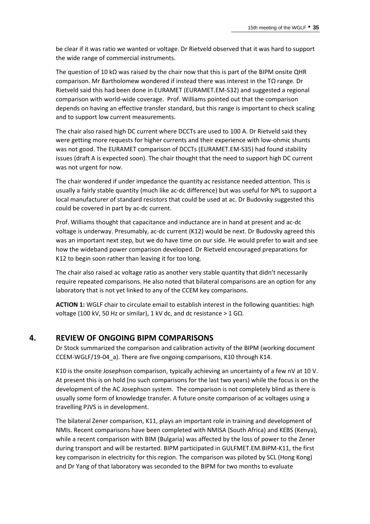be clear if it was ratio we wanted or voltage. Dr Rietveld observed that it was hard to support the wide range of commercial instruments.

The question of 10 kΩ was raised by the chair now that this is part of the BIPM onsite QHR comparison. Mr Bartholomew wondered if instead there was interest in the TΩ range. Dr Rietveld said this had been done in EURAMET (EURAMET.EM-S32) and suggested a regional comparison with world-wide coverage. Prof. Williams pointed out that the comparison depends on having an effective transfer standard, but this range is important to check scaling and to support low current measurements.

The chair also raised high DC current where DCCTs are used to 100 A. Dr Rietveld said they were getting more requests for higher currents and their experience with low-ohmic shunts was not good. The EURAMET comparison of DCCTs (EURAMET.EM-S35) had found stability issues (draft A is expected soon). The chair thought that the need to support high DC current was not urgent for now.

The chair wondered if under impedance the quantity ac resistance needed attention. This is usually a fairly stable quantity (much like ac-dc difference) but was useful for NPL to support a local manufacturer of standard resistors that could be used at ac. Dr Budovsky suggested this could be covered in part by ac-dc current.

Prof. Williams thought that capacitance and inductance are in hand at present and ac-dc voltage is underway. Presumably, ac-dc current (K12) would be next. Dr Budovsky agreed this was an important next step, but we do have time on our side. He would prefer to wait and see how the wideband power comparison developed. Dr Rietveld encouraged preparations for K12 to begin soon rather than leaving it for too long.

The chair also raised ac voltage ratio as another very stable quantity that didn't necessarily require repeated comparisons. He also noted that bilateral comparisons are an option for any laboratory that is not yet linked to any of the CCEM key comparisons.

**ACTION 1:** WGLF chair to circulate email to establish interest in the following quantities: high voltage (100 kV, 50 Hz or similar), 1 kV dc, and dc resistance > 1 GΩ.

## **4. REVIEW OF ONGOING BIPM COMPARISONS**

Dr Stock summarized the comparison and calibration activity of the BIPM (working document CCEM-WGLF/19-04\_a). There are five ongoing comparisons, K10 through K14.

K10 is the onsite Josephson comparison, typically achieving an uncertainty of a few nV at 10 V. At present this is on hold (no such comparisons for the last two years) while the focus is on the development of the AC Josephson system. The comparison is not completely blind as there is usually some form of knowledge transfer. A future onsite comparison of ac voltages using a travelling PJVS is in development.

The bilateral Zener comparison, K11, plays an important role in training and development of NMIs. Recent comparisons have been completed with NMISA (South Africa) and KEBS (Kenya), while a recent comparison with BIM (Bulgaria) was affected by the loss of power to the Zener during transport and will be restarted. BIPM participated in GULFMET.EM.BIPM-K11, the first key comparison in electricity for this region. The comparison was piloted by SCL (Hong Kong) and Dr Yang of that laboratory was seconded to the BIPM for two months to evaluate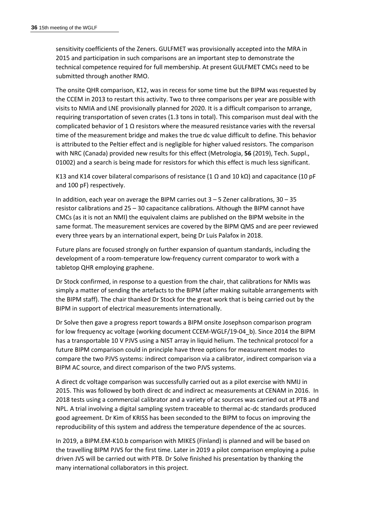sensitivity coefficients of the Zeners. GULFMET was provisionally accepted into the MRA in 2015 and participation in such comparisons are an important step to demonstrate the technical competence required for full membership. At present GULFMET CMCs need to be submitted through another RMO.

The onsite QHR comparison, K12, was in recess for some time but the BIPM was requested by the CCEM in 2013 to restart this activity. Two to three comparisons per year are possible with visits to NMIA and LNE provisionally planned for 2020. It is a difficult comparison to arrange, requiring transportation of seven crates (1.3 tons in total). This comparison must deal with the complicated behavior of 1  $\Omega$  resistors where the measured resistance varies with the reversal time of the measurement bridge and makes the true dc value difficult to define. This behavior is attributed to the Peltier effect and is negligible for higher valued resistors. The comparison with NRC (Canada) provided new results for this effect (Metrologia, **56** (2019), Tech. Suppl., 01002) and a search is being made for resistors for which this effect is much less significant.

K13 and K14 cover bilateral comparisons of resistance (1  $\Omega$  and 10 k $\Omega$ ) and capacitance (10 pF and 100 pF) respectively.

In addition, each year on average the BIPM carries out  $3 - 5$  Zener calibrations,  $30 - 35$ resistor calibrations and 25 – 30 capacitance calibrations. Although the BIPM cannot have CMCs (as it is not an NMI) the equivalent claims are published on the BIPM website in the same format. The measurement services are covered by the BIPM QMS and are peer reviewed every three years by an international expert, being Dr Luis Palafox in 2018.

Future plans are focused strongly on further expansion of quantum standards, including the development of a room-temperature low-frequency current comparator to work with a tabletop QHR employing graphene.

Dr Stock confirmed, in response to a question from the chair, that calibrations for NMIs was simply a matter of sending the artefacts to the BIPM (after making suitable arrangements with the BIPM staff). The chair thanked Dr Stock for the great work that is being carried out by the BIPM in support of electrical measurements internationally.

Dr Solve then gave a progress report towards a BIPM onsite Josephson comparison program for low frequency ac voltage (working document CCEM-WGLF/19-04\_b). Since 2014 the BIPM has a transportable 10 V PJVS using a NIST array in liquid helium. The technical protocol for a future BIPM comparison could in principle have three options for measurement modes to compare the two PJVS systems: indirect comparison via a calibrator, indirect comparison via a BIPM AC source, and direct comparison of the two PJVS systems.

A direct dc voltage comparison was successfully carried out as a pilot exercise with NMIJ in 2015. This was followed by both direct dc and indirect ac measurements at CENAM in 2016. In 2018 tests using a commercial calibrator and a variety of ac sources was carried out at PTB and NPL. A trial involving a digital sampling system traceable to thermal ac-dc standards produced good agreement. Dr Kim of KRISS has been seconded to the BIPM to focus on improving the reproducibility of this system and address the temperature dependence of the ac sources.

In 2019, a BIPM.EM-K10.b comparison with MIKES (Finland) is planned and will be based on the travelling BIPM PJVS for the first time. Later in 2019 a pilot comparison employing a pulse driven JVS will be carried out with PTB. Dr Solve finished his presentation by thanking the many international collaborators in this project.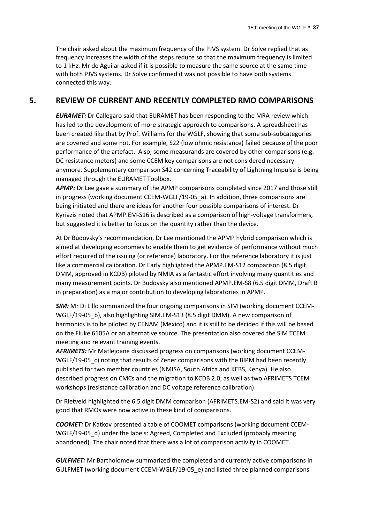The chair asked about the maximum frequency of the PJVS system. Dr Solve replied that as frequency increases the width of the steps reduce so that the maximum frequency is limited to 1 kHz. Mr de Aguilar asked if it is possible to measure the same source at the same time with both PJVS systems. Dr Solve confirmed it was not possible to have both systems connected this way.

## **5. REVIEW OF CURRENT AND RECENTLY COMPLETED RMO COMPARISONS**

*EURAMET:* Dr Callegaro said that EURAMET has been responding to the MRA review which has led to the development of more strategic approach to comparisons. A spreadsheet has been created like that by Prof. Williams for the WGLF, showing that some sub-subcategories are covered and some not. For example, S22 (low ohmic resistance) failed because of the poor performance of the artefact. Also, some measurands are covered by other comparisons (e.g. DC resistance meters) and some CCEM key comparisons are not considered necessary anymore. Supplementary comparison S42 concerning Traceability of Lightning Impulse is being managed through the EURAMET Toolbox.

*APMP:* Dr Lee gave a summary of the APMP comparisons completed since 2017 and those still in progress (working document CCEM-WGLF/19-05\_a). In addition, three comparisons are being initiated and there are ideas for another four possible comparisons of interest. Dr Kyriazis noted that APMP.EM-S16 is described as a comparison of high-voltage transformers, but suggested it is better to focus on the quantity rather than the device.

At Dr Budovsky's recommendation, Dr Lee mentioned the APMP hybrid comparison which is aimed at developing economies to enable them to get evidence of performance without much effort required of the issuing (or reference) laboratory. For the reference laboratory it is just like a commercial calibration. Dr Early highlighted the APMP.EM-S12 comparison (8.5 digit DMM, approved in KCDB) piloted by NMIA as a fantastic effort involving many quantities and many measurement points. Dr Budovsky also mentioned APMP.EM-S8 (6.5 digit DMM, Draft B in preparation) as a major contribution to developing laboratories in APMP.

*SIM:* Mr Di Lillo summarized the four ongoing comparisons in SIM (working document CCEM-WGLF/19-05 b), also highlighting SIM.EM-S13 (8.5 digit DMM). A new comparison of harmonics is to be piloted by CENAM (Mexico) and it is still to be decided if this will be based on the Fluke 6105A or an alternative source. The presentation also covered the SIM TCEM meeting and relevant training events.

*AFRIMETS:* Mr Matlejoane discussed progress on comparisons (working document CCEM-WGLF/19-05 c) noting that results of Zener comparisons with the BIPM had been recently published for two member countries (NMISA, South Africa and KEBS, Kenya). He also described progress on CMCs and the migration to KCDB 2.0, as well as two AFRIMETS TCEM workshops (resistance calibration and DC voltage reference calibration).

Dr Rietveld highlighted the 6.5 digit DMM comparison (AFRIMETS.EM-S2) and said it was very good that RMOs were now active in these kind of comparisons.

*COOMET:* Dr Katkov presented a table of COOMET comparisons (working document CCEM-WGLF/19-05\_d) under the labels: Agreed, Completed and Excluded (probably meaning abandoned). The chair noted that there was a lot of comparison activity in COOMET.

*GULFMET:* Mr Bartholomew summarized the completed and currently active comparisons in GULFMET (working document CCEM-WGLF/19-05\_e) and listed three planned comparisons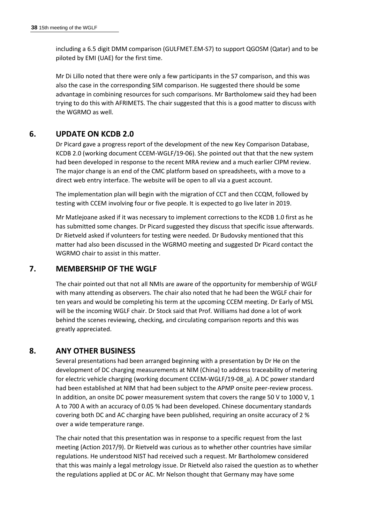including a 6.5 digit DMM comparison (GULFMET.EM-S7) to support QGOSM (Qatar) and to be piloted by EMI (UAE) for the first time.

Mr Di Lillo noted that there were only a few participants in the S7 comparison, and this was also the case in the corresponding SIM comparison. He suggested there should be some advantage in combining resources for such comparisons. Mr Bartholomew said they had been trying to do this with AFRIMETS. The chair suggested that this is a good matter to discuss with the WGRMO as well.

## **6. UPDATE ON KCDB 2.0**

Dr Picard gave a progress report of the development of the new Key Comparison Database, KCDB 2.0 (working document CCEM-WGLF/19-06). She pointed out that that the new system had been developed in response to the recent MRA review and a much earlier CIPM review. The major change is an end of the CMC platform based on spreadsheets, with a move to a direct web entry interface. The website will be open to all via a guest account.

The implementation plan will begin with the migration of CCT and then CCQM, followed by testing with CCEM involving four or five people. It is expected to go live later in 2019.

Mr Matlejoane asked if it was necessary to implement corrections to the KCDB 1.0 first as he has submitted some changes. Dr Picard suggested they discuss that specific issue afterwards. Dr Rietveld asked if volunteers for testing were needed. Dr Budovsky mentioned that this matter had also been discussed in the WGRMO meeting and suggested Dr Picard contact the WGRMO chair to assist in this matter.

## **7. MEMBERSHIP OF THE WGLF**

The chair pointed out that not all NMIs are aware of the opportunity for membership of WGLF with many attending as observers. The chair also noted that he had been the WGLF chair for ten years and would be completing his term at the upcoming CCEM meeting. Dr Early of MSL will be the incoming WGLF chair. Dr Stock said that Prof. Williams had done a lot of work behind the scenes reviewing, checking, and circulating comparison reports and this was greatly appreciated.

## **8. ANY OTHER BUSINESS**

Several presentations had been arranged beginning with a presentation by Dr He on the development of DC charging measurements at NIM (China) to address traceability of metering for electric vehicle charging (working document CCEM-WGLF/19-08\_a). A DC power standard had been established at NIM that had been subject to the APMP onsite peer-review process. In addition, an onsite DC power measurement system that covers the range 50 V to 1000 V, 1 A to 700 A with an accuracy of 0.05 % had been developed. Chinese documentary standards covering both DC and AC charging have been published, requiring an onsite accuracy of 2 % over a wide temperature range.

The chair noted that this presentation was in response to a specific request from the last meeting (Action 2017/9). Dr Rietveld was curious as to whether other countries have similar regulations. He understood NIST had received such a request. Mr Bartholomew considered that this was mainly a legal metrology issue. Dr Rietveld also raised the question as to whether the regulations applied at DC or AC. Mr Nelson thought that Germany may have some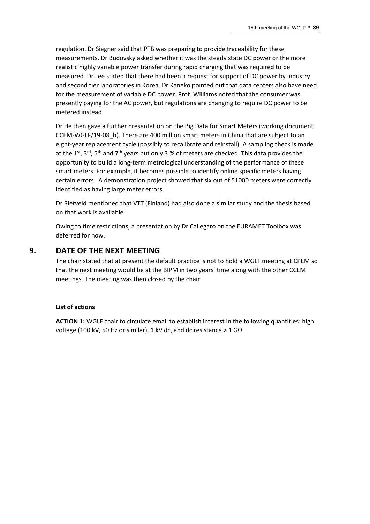regulation. Dr Siegner said that PTB was preparing to provide traceability for these measurements. Dr Budovsky asked whether it was the steady state DC power or the more realistic highly variable power transfer during rapid charging that was required to be measured. Dr Lee stated that there had been a request for support of DC power by industry and second tier laboratories in Korea. Dr Kaneko pointed out that data centers also have need for the measurement of variable DC power. Prof. Williams noted that the consumer was presently paying for the AC power, but regulations are changing to require DC power to be metered instead.

Dr He then gave a further presentation on the Big Data for Smart Meters (working document CCEM-WGLF/19-08\_b). There are 400 million smart meters in China that are subject to an eight-year replacement cycle (possibly to recalibrate and reinstall). A sampling check is made at the 1<sup>st</sup>, 3<sup>rd</sup>, 5<sup>th</sup> and 7<sup>th</sup> years but only 3 % of meters are checked. This data provides the opportunity to build a long-term metrological understanding of the performance of these smart meters. For example, it becomes possible to identify online specific meters having certain errors. A demonstration project showed that six out of 51000 meters were correctly identified as having large meter errors.

Dr Rietveld mentioned that VTT (Finland) had also done a similar study and the thesis based on that work is available.

Owing to time restrictions, a presentation by Dr Callegaro on the EURAMET Toolbox was deferred for now.

## **9. DATE OF THE NEXT MEETING**

The chair stated that at present the default practice is not to hold a WGLF meeting at CPEM so that the next meeting would be at the BIPM in two years' time along with the other CCEM meetings. The meeting was then closed by the chair.

#### **List of actions**

**ACTION 1:** WGLF chair to circulate email to establish interest in the following quantities: high voltage (100 kV, 50 Hz or similar), 1 kV dc, and dc resistance > 1 G $\Omega$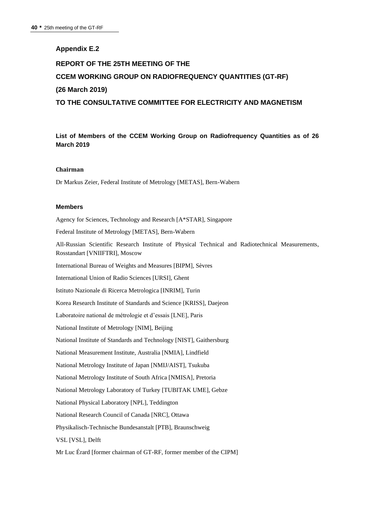#### **Appendix E.2**

## **REPORT OF THE 25TH MEETING OF THE CCEM WORKING GROUP ON RADIOFREQUENCY QUANTITIES (GT-RF) (26 March 2019) TO THE CONSULTATIVE COMMITTEE FOR ELECTRICITY AND MAGNETISM**

**List of Members of the CCEM Working Group on Radiofrequency Quantities as of 26 March 2019**

#### **Chairman**

Dr Markus Zeier, Federal Institute of Metrology [METAS], Bern-Wabern

#### **Members**

Agency for Sciences, Technology and Research [A\*STAR], Singapore Federal Institute of Metrology [METAS], Bern-Wabern All-Russian Scientific Research Institute of Physical Technical and Radiotechnical Measurements, Rosstandart [VNIIFTRI], Moscow International Bureau of Weights and Measures [BIPM], Sèvres International Union of Radio Sciences [URSI], Ghent Istituto Nazionale di Ricerca Metrologica [INRIM], Turin Korea Research Institute of Standards and Science [KRISS], Daejeon Laboratoire national de métrologie et d'essais [LNE], Paris National Institute of Metrology [NIM], Beijing National Institute of Standards and Technology [NIST], Gaithersburg National Measurement Institute, Australia [NMIA], Lindfield National Metrology Institute of Japan [NMIJ/AIST], Tsukuba National Metrology Institute of South Africa [NMISA], Pretoria National Metrology Laboratory of Turkey [TUBITAK UME], Gebze National Physical Laboratory [NPL], Teddington National Research Council of Canada [NRC], Ottawa Physikalisch-Technische Bundesanstalt [PTB], Braunschweig VSL [VSL], Delft Mr Luc Érard [former chairman of GT-RF, former member of the CIPM]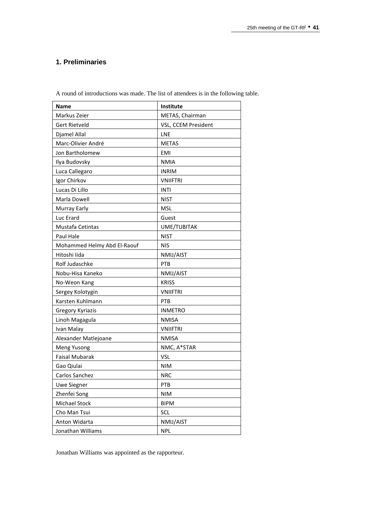## **1. Preliminaries**

| <b>Name</b>                 | Institute           |
|-----------------------------|---------------------|
| Markus Zeier                | METAS, Chairman     |
| <b>Gert Rietveld</b>        | VSL, CCEM President |
| Djamel Allal                | LNE                 |
| Marc-Olivier André          | <b>METAS</b>        |
| Jon Bartholomew             | <b>EMI</b>          |
| Ilya Budovsky               | <b>NMIA</b>         |
| Luca Callegaro              | <b>INRIM</b>        |
| Igor Chirkov                | <b>VNIIFTRI</b>     |
| Lucas Di Lillo              | <b>INTI</b>         |
| Marla Dowell                | <b>NIST</b>         |
| Murray Early                | <b>MSL</b>          |
| Luc Erard                   | Guest               |
| Mustafa Cetintas            | UME/TUBITAK         |
| <b>Paul Hale</b>            | <b>NIST</b>         |
| Mohammed Helmy Abd El-Raouf | <b>NIS</b>          |
| Hitoshi lida                | NMIJ/AIST           |
| Rolf Judaschke              | PTB                 |
| Nobu-Hisa Kaneko            | NMIJ/AIST           |
| No-Weon Kang                | <b>KRISS</b>        |
| Sergey Kolotygin            | <b>VNIIFTRI</b>     |
| Karsten Kuhlmann            | PTB                 |
| <b>Gregory Kyriazis</b>     | <b>INMETRO</b>      |
| Linoh Magagula              | <b>NMISA</b>        |
| Ivan Malay                  | <b>VNIIFTRI</b>     |
| Alexander Matlejoane        | <b>NMISA</b>        |
| Meng Yusong                 | NMC, A*STAR         |
| <b>Faisal Mubarak</b>       | <b>VSL</b>          |
| Gao Qiulai                  | <b>NIM</b>          |
| Carlos Sanchez              | <b>NRC</b>          |
| <b>Uwe Siegner</b>          | PTB                 |
| Zhenfei Song                | <b>NIM</b>          |
| Michael Stock               | <b>BIPM</b>         |
| Cho Man Tsui                | <b>SCL</b>          |
| Anton Widarta               | NMIJ/AIST           |
| Jonathan Williams           | NPL                 |

A round of introductions was made. The list of attendees is in the following table.

Jonathan Williams was appointed as the rapporteur.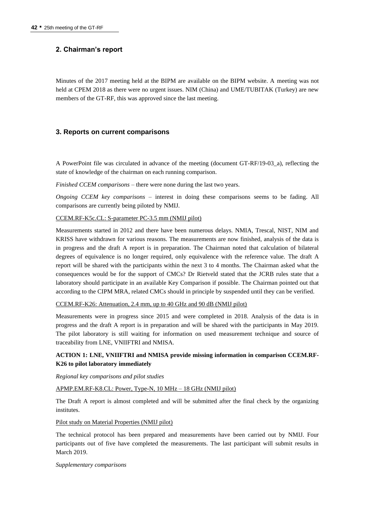## **2. Chairman's report**

Minutes of the 2017 meeting held at the BIPM are available on the BIPM website. A meeting was not held at CPEM 2018 as there were no urgent issues. NIM (China) and UME/TUBITAK (Turkey) are new members of the GT-RF, this was approved since the last meeting.

#### **3. Reports on current comparisons**

A PowerPoint file was circulated in advance of the meeting (document GT-RF/19-03\_a), reflecting the state of knowledge of the chairman on each running comparison.

*Finished CCEM comparisons* – there were none during the last two years.

*Ongoing CCEM key comparisons* – interest in doing these comparisons seems to be fading. All comparisons are currently being piloted by NMIJ.

#### CCEM.RF-K5c.CL: S-parameter PC-3.5 mm (NMIJ pilot)

Measurements started in 2012 and there have been numerous delays. NMIA, Trescal, NIST, NIM and KRISS have withdrawn for various reasons. The measurements are now finished, analysis of the data is in progress and the draft A report is in preparation. The Chairman noted that calculation of bilateral degrees of equivalence is no longer required, only equivalence with the reference value. The draft A report will be shared with the participants within the next 3 to 4 months. The Chairman asked what the consequences would be for the support of CMCs? Dr Rietveld stated that the JCRB rules state that a laboratory should participate in an available Key Comparison if possible. The Chairman pointed out that according to the CIPM MRA, related CMCs should in principle by suspended until they can be verified.

CCEM.RF-K26: Attenuation, 2.4 mm, up to 40 GHz and 90 dB (NMIJ pilot)

Measurements were in progress since 2015 and were completed in 2018. Analysis of the data is in progress and the draft A report is in preparation and will be shared with the participants in May 2019. The pilot laboratory is still waiting for information on used measurement technique and source of traceability from LNE, VNIIFTRI and NMISA.

#### **ACTION 1: LNE, VNIIFTRI and NMISA provide missing information in comparison CCEM.RF-K26 to pilot laboratory immediately**

*Regional key comparisons and pilot studies*

#### APMP.EM.RF-K8.CL: Power, Type-N, 10 MHz – 18 GHz (NMIJ pilot)

The Draft A report is almost completed and will be submitted after the final check by the organizing institutes.

#### Pilot study on Material Properties (NMIJ pilot)

The technical protocol has been prepared and measurements have been carried out by NMIJ. Four participants out of five have completed the measurements. The last participant will submit results in March 2019.

#### *Supplementary comparisons*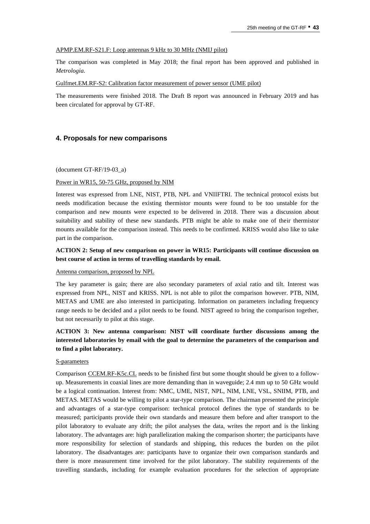#### APMP.EM.RF-S21.F: Loop antennas 9 kHz to 30 MHz (NMIJ pilot)

The comparison was completed in May 2018; the final report has been approved and published in *Metrologia.*

#### Gulfmet.EM.RF-S2: Calibration factor measurement of power sensor (UME pilot)

The measurements were finished 2018. The Draft B report was announced in February 2019 and has been circulated for approval by GT-RF.

#### **4. Proposals for new comparisons**

#### (document GT-RF/19-03\_a)

#### Power in WR15, 50-75 GHz, proposed by NIM

Interest was expressed from LNE, NIST, PTB, NPL and VNIIFTRI. The technical protocol exists but needs modification because the existing thermistor mounts were found to be too unstable for the comparison and new mounts were expected to be delivered in 2018. There was a discussion about suitability and stability of these new standards. PTB might be able to make one of their thermistor mounts available for the comparison instead. This needs to be confirmed. KRISS would also like to take part in the comparison.

#### **ACTION 2: Setup of new comparison on power in WR15: Participants will continue discussion on best course of action in terms of travelling standards by email.**

#### Antenna comparison, proposed by NPL

The key parameter is gain; there are also secondary parameters of axial ratio and tilt. Interest was expressed from NPL, NIST and KRISS. NPL is not able to pilot the comparison however. PTB, NIM, METAS and UME are also interested in participating. Information on parameters including frequency range needs to be decided and a pilot needs to be found. NIST agreed to bring the comparison together, but not necessarily to pilot at this stage.

### **ACTION 3: New antenna comparison: NIST will coordinate further discussions among the interested laboratories by email with the goal to determine the parameters of the comparison and to find a pilot laboratory.**

#### S-parameters

Comparison CCEM.RF-K5c.CL needs to be finished first but some thought should be given to a followup. Measurements in coaxial lines are more demanding than in waveguide; 2.4 mm up to 50 GHz would be a logical continuation. Interest from: NMC, UME, NIST, NPL, NIM, LNE, VSL, SNIIM, PTB, and METAS. METAS would be willing to pilot a star-type comparison. The chairman presented the principle and advantages of a star-type comparison: technical protocol defines the type of standards to be measured; participants provide their own standards and measure them before and after transport to the pilot laboratory to evaluate any drift; the pilot analyses the data, writes the report and is the linking laboratory. The advantages are: high parallelization making the comparison shorter; the participants have more responsibility for selection of standards and shipping, this reduces the burden on the pilot laboratory. The disadvantages are: participants have to organize their own comparison standards and there is more measurement time involved for the pilot laboratory. The stability requirements of the travelling standards, including for example evaluation procedures for the selection of appropriate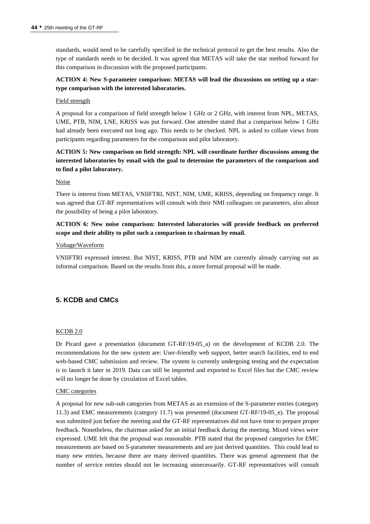standards, would need to be carefully specified in the technical protocol to get the best results. Also the type of standards needs to be decided. It was agreed that METAS will take the star method forward for this comparison in discussion with the proposed participants.

### **ACTION 4: New S-parameter comparison: METAS will lead the discussions on setting up a startype comparison with the interested laboratories.**

#### Field strength

A proposal for a comparison of field strength below 1 GHz or 2 GHz, with interest from NPL, METAS, UME, PTB, NIM, LNE, KRISS was put forward. One attendee stated that a comparison below 1 GHz had already been executed not long ago. This needs to be checked. NPL is asked to collate views from participants regarding parameters for the comparison and pilot laboratory.

## **ACTION 5: New comparison on field strength: NPL will coordinate further discussions among the interested laboratories by email with the goal to determine the parameters of the comparison and to find a pilot laboratory.**

#### Noise

There is interest from METAS, VNIIFTRI, NIST, NIM, UME, KRISS, depending on frequency range. It was agreed that GT-RF representatives will consult with their NMI colleagues on parameters, also about the possibility of being a pilot laboratory.

### **ACTION 6: New noise comparison: Interested laboratories will provide feedback on preferred scope and their ability to pilot such a comparison to chairman by email.**

#### Voltage/Waveform

VNIIFTRI expressed interest. But NIST, KRISS, PTB and NIM are currently already carrying out an informal comparison. Based on the results from this, a more formal proposal will be made.

## **5. KCDB and CMCs**

#### KCDB 2.0

Dr Picard gave a presentation (document GT-RF/19-05\_a) on the development of KCDB 2.0. The recommendations for the new system are: User-friendly web support, better search facilities, end to end web-based CMC submission and review. The system is currently undergoing testing and the expectation is to launch it later in 2019. Data can still be imported and exported to Excel files but the CMC review will no longer be done by circulation of Excel tables.

#### CMC categories

A proposal for new sub-sub categories from METAS as an extension of the S-parameter entries (category 11.3) and EMC measurements (category 11.7) was presented (document GT-RF/19-05\_e). The proposal was submitted just before the meeting and the GT-RF representatives did not have time to prepare proper feedback. Nonetheless, the chairman asked for an initial feedback during the meeting. Mixed views were expressed. UME felt that the proposal was reasonable. PTB stated that the proposed categories for EMC measurements are based on S-parameter measurements and are just derived quantities. This could lead to many new entries, because there are many derived quantities. There was general agreement that the number of service entries should not be increasing unnecessarily. GT-RF representatives will consult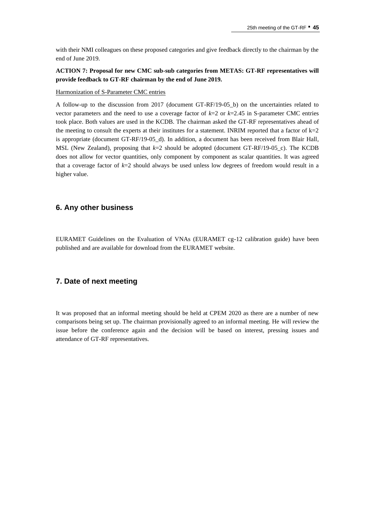with their NMI colleagues on these proposed categories and give feedback directly to the chairman by the end of June 2019.

### **ACTION 7: Proposal for new CMC sub-sub categories from METAS: GT-RF representatives will provide feedback to GT-RF chairman by the end of June 2019.**

#### Harmonization of S-Parameter CMC entries

A follow-up to the discussion from 2017 (document GT-RF/19-05\_b) on the uncertainties related to vector parameters and the need to use a coverage factor of  $k=2$  or  $k=2.45$  in S-parameter CMC entries took place. Both values are used in the KCDB. The chairman asked the GT-RF representatives ahead of the meeting to consult the experts at their institutes for a statement. INRIM reported that a factor of  $k=2$ is appropriate (document GT-RF/19-05\_d). In addition, a document has been received from Blair Hall, MSL (New Zealand), proposing that *k*=2 should be adopted (document GT-RF/19-05\_c). The KCDB does not allow for vector quantities, only component by component as scalar quantities. It was agreed that a coverage factor of *k*=2 should always be used unless low degrees of freedom would result in a higher value.

#### **6. Any other business**

EURAMET Guidelines on the Evaluation of VNAs (EURAMET cg-12 calibration guide) have been published and are available for download from the EURAMET website.

## **7. Date of next meeting**

It was proposed that an informal meeting should be held at CPEM 2020 as there are a number of new comparisons being set up. The chairman provisionally agreed to an informal meeting. He will review the issue before the conference again and the decision will be based on interest, pressing issues and attendance of GT-RF representatives.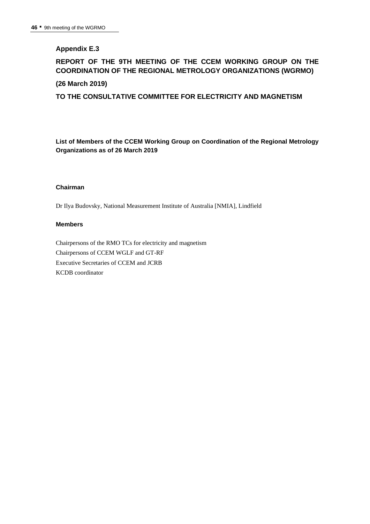## **Appendix E.3**

## **REPORT OF THE 9TH MEETING OF THE CCEM WORKING GROUP ON THE COORDINATION OF THE REGIONAL METROLOGY ORGANIZATIONS (WGRMO)**

#### **(26 March 2019)**

**TO THE CONSULTATIVE COMMITTEE FOR ELECTRICITY AND MAGNETISM**

**List of Members of the CCEM Working Group on Coordination of the Regional Metrology Organizations as of 26 March 2019**

#### **Chairman**

Dr Ilya Budovsky, National Measurement Institute of Australia [NMIA], Lindfield

#### **Members**

Chairpersons of the RMO TCs for electricity and magnetism Chairpersons of CCEM WGLF and GT-RF Executive Secretaries of CCEM and JCRB KCDB coordinator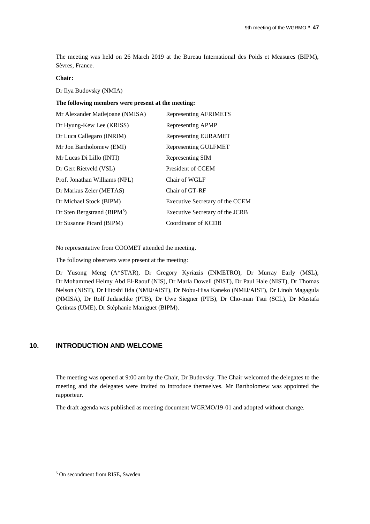The meeting was held on 26 March 2019 at the Bureau International des Poids et Measures (BIPM), Sèvres, France.

#### **Chair:**

Dr Ilya Budovsky (NMIA)

#### **The following members were present at the meeting:**

| Mr Alexander Matlejoane (NMISA) | Representing AFRIMETS           |
|---------------------------------|---------------------------------|
| Dr Hyung-Kew Lee (KRISS)        | Representing APMP               |
| Dr Luca Callegaro (INRIM)       | Representing EURAMET            |
| Mr Jon Bartholomew (EMI)        | <b>Representing GULFMET</b>     |
| Mr Lucas Di Lillo (INTI)        | Representing SIM                |
| Dr Gert Rietveld (VSL)          | President of CCEM               |
| Prof. Jonathan Williams (NPL)   | Chair of WGLF                   |
| Dr Markus Zeier (METAS)         | Chair of GT-RF                  |
| Dr Michael Stock (BIPM)         | Executive Secretary of the CCEM |
| Dr Sten Bergstrand (BIP $M^5$ ) | Executive Secretary of the JCRB |
| Dr Susanne Picard (BIPM)        | Coordinator of KCDB             |

No representative from COOMET attended the meeting.

The following observers were present at the meeting:

Dr Yusong Meng (A\*STAR), Dr Gregory Kyriazis (INMETRO), Dr Murray Early (MSL), Dr Mohammed Helmy Abd El-Raouf (NIS), Dr Marla Dowell (NIST), Dr Paul Hale (NIST), Dr Thomas Nelson (NIST), Dr Hitoshi Iida (NMIJ/AIST), Dr Nobu-Hisa Kaneko (NMIJ/AIST), Dr Linoh Magagula (NMISA), Dr Rolf Judaschke (PTB), Dr Uwe Siegner (PTB), Dr Cho-man Tsui (SCL), Dr Mustafa Çetintas (UME), Dr Stéphanie Maniguet (BIPM).

#### **10. INTRODUCTION AND WELCOME**

The meeting was opened at 9:00 am by the Chair, Dr Budovsky. The Chair welcomed the delegates to the meeting and the delegates were invited to introduce themselves. Mr Bartholomew was appointed the rapporteur.

The draft agenda was published as meeting document WGRMO/19-01 and adopted without change.

<sup>5</sup> On secondment from RISE, Sweden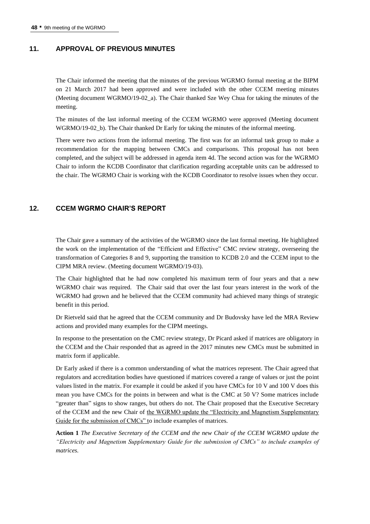#### **11. APPROVAL OF PREVIOUS MINUTES**

The Chair informed the meeting that the minutes of the previous WGRMO formal meeting at the BIPM on 21 March 2017 had been approved and were included with the other CCEM meeting minutes (Meeting document WGRMO/19-02\_a). The Chair thanked Sze Wey Chua for taking the minutes of the meeting.

The minutes of the last informal meeting of the CCEM WGRMO were approved (Meeting document WGRMO/19-02\_b). The Chair thanked Dr Early for taking the minutes of the informal meeting.

There were two actions from the informal meeting. The first was for an informal task group to make a recommendation for the mapping between CMCs and comparisons. This proposal has not been completed, and the subject will be addressed in agenda item 4d. The second action was for the WGRMO Chair to inform the KCDB Coordinator that clarification regarding acceptable units can be addressed to the chair. The WGRMO Chair is working with the KCDB Coordinator to resolve issues when they occur.

#### **12. CCEM WGRMO CHAIR'S REPORT**

The Chair gave a summary of the activities of the WGRMO since the last formal meeting. He highlighted the work on the implementation of the "Efficient and Effective" CMC review strategy, overseeing the transformation of Categories 8 and 9, supporting the transition to KCDB 2.0 and the CCEM input to the CIPM MRA review. (Meeting document WGRMO/19-03).

The Chair highlighted that he had now completed his maximum term of four years and that a new WGRMO chair was required. The Chair said that over the last four years interest in the work of the WGRMO had grown and he believed that the CCEM community had achieved many things of strategic benefit in this period.

Dr Rietveld said that he agreed that the CCEM community and Dr Budovsky have led the MRA Review actions and provided many examples for the CIPM meetings.

In response to the presentation on the CMC review strategy, Dr Picard asked if matrices are obligatory in the CCEM and the Chair responded that as agreed in the 2017 minutes new CMCs must be submitted in matrix form if applicable.

Dr Early asked if there is a common understanding of what the matrices represent. The Chair agreed that regulators and accreditation bodies have questioned if matrices covered a range of values or just the point values listed in the matrix. For example it could be asked if you have CMCs for 10 V and 100 V does this mean you have CMCs for the points in between and what is the CMC at 50 V? Some matrices include "greater than" signs to show ranges, but others do not. The Chair proposed that the Executive Secretary of the CCEM and the new Chair of the WGRMO update the "Electricity and Magnetism Supplementary Guide for the submission of CMCs" to include examples of matrices.

**Action 1** *The Executive Secretary of the CCEM and the new Chair of the CCEM WGRMO update the "Electricity and Magnetism Supplementary Guide for the submission of CMCs" to include examples of matrices.*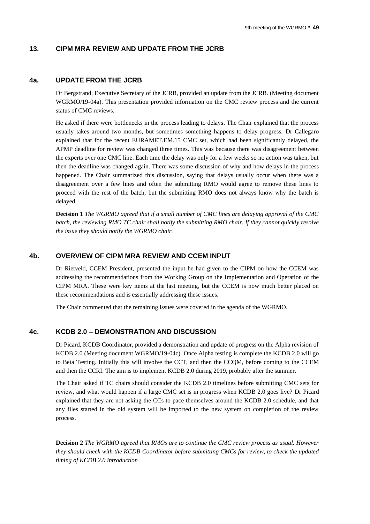#### **13. CIPM MRA REVIEW AND UPDATE FROM THE JCRB**

#### **4a. UPDATE FROM THE JCRB**

Dr Bergstrand, Executive Secretary of the JCRB, provided an update from the JCRB. (Meeting document WGRMO/19-04a). This presentation provided information on the CMC review process and the current status of CMC reviews.

He asked if there were bottlenecks in the process leading to delays. The Chair explained that the process usually takes around two months, but sometimes something happens to delay progress. Dr Callegaro explained that for the recent EURAMET.EM.15 CMC set, which had been significantly delayed, the APMP deadline for review was changed three times. This was because there was disagreement between the experts over one CMC line. Each time the delay was only for a few weeks so no action was taken, but then the deadline was changed again. There was some discussion of why and how delays in the process happened. The Chair summarized this discussion, saying that delays usually occur when there was a disagreement over a few lines and often the submitting RMO would agree to remove these lines to proceed with the rest of the batch, but the submitting RMO does not always know why the batch is delayed.

**Decision 1** *The WGRMO agreed that if a small number of CMC lines are delaying approval of the CMC batch, the reviewing RMO TC chair shall notify the submitting RMO chair. If they cannot quickly resolve the issue they should notify the WGRMO chair.*

## **4b. OVERVIEW OF CIPM MRA REVIEW AND CCEM INPUT**

Dr Rietveld, CCEM President, presented the input he had given to the CIPM on how the CCEM was addressing the recommendations from the Working Group on the Implementation and Operation of the CIPM MRA. These were key items at the last meeting, but the CCEM is now much better placed on these recommendations and is essentially addressing these issues.

The Chair commented that the remaining issues were covered in the agenda of the WGRMO.

#### **4c. KCDB 2.0 – DEMONSTRATION AND DISCUSSION**

Dr Picard, KCDB Coordinator, provided a demonstration and update of progress on the Alpha revision of KCDB 2.0 (Meeting document WGRMO/19-04c). Once Alpha testing is complete the KCDB 2.0 will go to Beta Testing. Initially this will involve the CCT, and then the CCQM, before coming to the CCEM and then the CCRI. The aim is to implement KCDB 2.0 during 2019, probably after the summer.

The Chair asked if TC chairs should consider the KCDB 2.0 timelines before submitting CMC sets for review, and what would happen if a large CMC set is in progress when KCDB 2.0 goes live? Dr Picard explained that they are not asking the CCs to pace themselves around the KCDB 2.0 schedule, and that any files started in the old system will be imported to the new system on completion of the review process.

**Decision 2** *The WGRMO agreed that RMOs are to continue the CMC review process as usual. However they should check with the KCDB Coordinator before submitting CMCs for review, to check the updated timing of KCDB 2.0 introduction*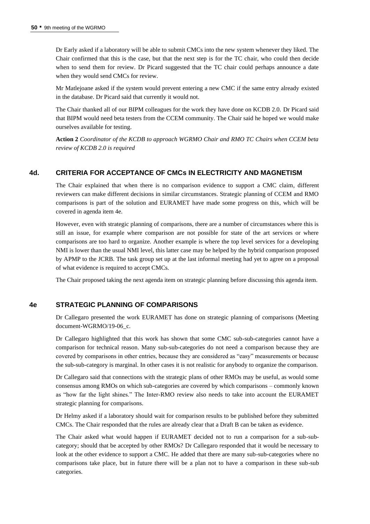Dr Early asked if a laboratory will be able to submit CMCs into the new system whenever they liked. The Chair confirmed that this is the case, but that the next step is for the TC chair, who could then decide when to send them for review. Dr Picard suggested that the TC chair could perhaps announce a date when they would send CMCs for review.

Mr Matlejoane asked if the system would prevent entering a new CMC if the same entry already existed in the database. Dr Picard said that currently it would not.

The Chair thanked all of our BIPM colleagues for the work they have done on KCDB 2.0. Dr Picard said that BIPM would need beta testers from the CCEM community. The Chair said he hoped we would make ourselves available for testing.

**Action 2** *Coordinator of the KCDB to approach WGRMO Chair and RMO TC Chairs when CCEM beta review of KCDB 2.0 is required*

### **4d. CRITERIA FOR ACCEPTANCE OF CMCs IN ELECTRICITY AND MAGNETISM**

The Chair explained that when there is no comparison evidence to support a CMC claim, different reviewers can make different decisions in similar circumstances. Strategic planning of CCEM and RMO comparisons is part of the solution and EURAMET have made some progress on this, which will be covered in agenda item 4e.

However, even with strategic planning of comparisons, there are a number of circumstances where this is still an issue, for example where comparison are not possible for state of the art services or where comparisons are too hard to organize. Another example is where the top level services for a developing NMI is lower than the usual NMI level, this latter case may be helped by the hybrid comparison proposed by APMP to the JCRB. The task group set up at the last informal meeting had yet to agree on a proposal of what evidence is required to accept CMCs.

The Chair proposed taking the next agenda item on strategic planning before discussing this agenda item.

#### **4e STRATEGIC PLANNING OF COMPARISONS**

Dr Callegaro presented the work EURAMET has done on strategic planning of comparisons (Meeting document-WGRMO/19-06 c.

Dr Callegaro highlighted that this work has shown that some CMC sub-sub-categories cannot have a comparison for technical reason. Many sub-sub-categories do not need a comparison because they are covered by comparisons in other entries, because they are considered as "easy" measurements or because the sub-sub-category is marginal. In other cases it is not realistic for anybody to organize the comparison.

Dr Callegaro said that connections with the strategic plans of other RMOs may be useful, as would some consensus among RMOs on which sub-categories are covered by which comparisons – commonly known as "how far the light shines." The Inter-RMO review also needs to take into account the EURAMET strategic planning for comparisons.

Dr Helmy asked if a laboratory should wait for comparison results to be published before they submitted CMCs. The Chair responded that the rules are already clear that a Draft B can be taken as evidence.

The Chair asked what would happen if EURAMET decided not to run a comparison for a sub-subcategory; should that be accepted by other RMOs? Dr Callegaro responded that it would be necessary to look at the other evidence to support a CMC. He added that there are many sub-sub-categories where no comparisons take place, but in future there will be a plan not to have a comparison in these sub-sub categories.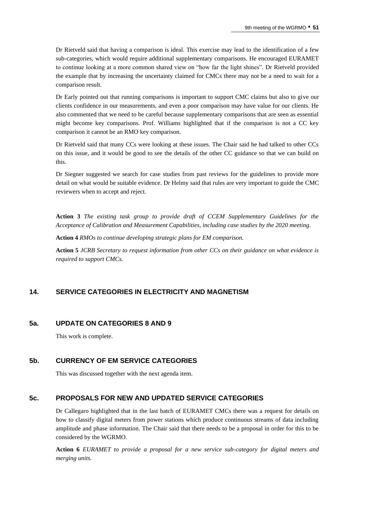Dr Rietveld said that having a comparison is ideal. This exercise may lead to the identification of a few sub-categories, which would require additional supplementary comparisons. He encouraged EURAMET to continue looking at a more common shared view on "how far the light shines". Dr Rietveld provided the example that by increasing the uncertainty claimed for CMCs there may not be a need to wait for a comparison result.

Dr Early pointed out that running comparisons is important to support CMC claims but also to give our clients confidence in our measurements, and even a poor comparison may have value for our clients. He also commented that we need to be careful because supplementary comparisons that are seen as essential might become key comparisons. Prof. Williams highlighted that if the comparison is not a CC key comparison it cannot be an RMO key comparison.

Dr Rietveld said that many CCs were looking at these issues. The Chair said he had talked to other CCs on this issue, and it would be good to see the details of the other CC guidance so that we can build on this.

Dr Siegner suggested we search for case studies from past reviews for the guidelines to provide more detail on what would be suitable evidence. Dr Helmy said that rules are very important to guide the CMC reviewers when to accept and reject.

**Action 3** *The existing task group to provide draft of CCEM Supplementary Guidelines for the Acceptance of Calibration and Measurement Capabilities, including case studies by the 2020 meeting.*

**Action 4** *RMOs to continue developing strategic plans for EM comparison.*

**Action 5** *JCRB Secretary to request information from other CCs on their guidance on what evidence is required to support CMCs.*

## **14. SERVICE CATEGORIES IN ELECTRICITY AND MAGNETISM**

#### **5a. UPDATE ON CATEGORIES 8 AND 9**

This work is complete.

#### **5b. CURRENCY OF EM SERVICE CATEGORIES**

This was discussed together with the next agenda item.

#### **5c. PROPOSALS FOR NEW AND UPDATED SERVICE CATEGORIES**

Dr Callegaro highlighted that in the last batch of EURAMET CMCs there was a request for details on how to classify digital meters from power stations which produce continuous streams of data including amplitude and phase information. The Chair said that there needs to be a proposal in order for this to be considered by the WGRMO.

**Action 6** *EURAMET to provide a proposal for a new service sub-category for digital meters and merging units.*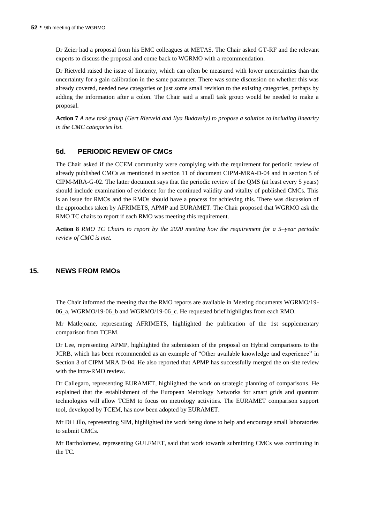Dr Zeier had a proposal from his EMC colleagues at METAS. The Chair asked GT-RF and the relevant experts to discuss the proposal and come back to WGRMO with a recommendation.

Dr Rietveld raised the issue of linearity, which can often be measured with lower uncertainties than the uncertainty for a gain calibration in the same parameter. There was some discussion on whether this was already covered, needed new categories or just some small revision to the existing categories, perhaps by adding the information after a colon. The Chair said a small task group would be needed to make a proposal.

**Action 7** *A new task group (Gert Rietveld and Ilya Budovsky) to propose a solution to including linearity in the CMC categories list.*

## **5d. PERIODIC REVIEW OF CMCs**

The Chair asked if the CCEM community were complying with the requirement for periodic review of already published CMCs as mentioned in section 11 of document CIPM-MRA-D-04 and in section 5 of CIPM-MRA-G-02. The latter document says that the periodic review of the QMS (at least every 5 years) should include examination of evidence for the continued validity and vitality of published CMCs. This is an issue for RMOs and the RMOs should have a process for achieving this. There was discussion of the approaches taken by AFRIMETS, APMP and EURAMET. The Chair proposed that WGRMO ask the RMO TC chairs to report if each RMO was meeting this requirement.

**Action 8** *RMO TC Chairs to report by the 2020 meeting how the requirement for a 5–year periodic review of CMC is met.*

## **15. NEWS FROM RMOs**

The Chair informed the meeting that the RMO reports are available in Meeting documents WGRMO/19- 06\_a, WGRMO/19-06\_b and WGRMO/19-06\_c. He requested brief highlights from each RMO.

Mr Matlejoane, representing AFRIMETS, highlighted the publication of the 1st supplementary comparison from TCEM.

Dr Lee, representing APMP, highlighted the submission of the proposal on Hybrid comparisons to the JCRB, which has been recommended as an example of "Other available knowledge and experience" in Section 3 of CIPM MRA D-04. He also reported that APMP has successfully merged the on-site review with the intra-RMO review.

Dr Callegaro, representing EURAMET, highlighted the work on strategic planning of comparisons. He explained that the establishment of the European Metrology Networks for smart grids and quantum technologies will allow TCEM to focus on metrology activities. The EURAMET comparison support tool, developed by TCEM, has now been adopted by EURAMET.

Mr Di Lillo, representing SIM, highlighted the work being done to help and encourage small laboratories to submit CMCs.

Mr Bartholomew, representing GULFMET, said that work towards submitting CMCs was continuing in the TC.